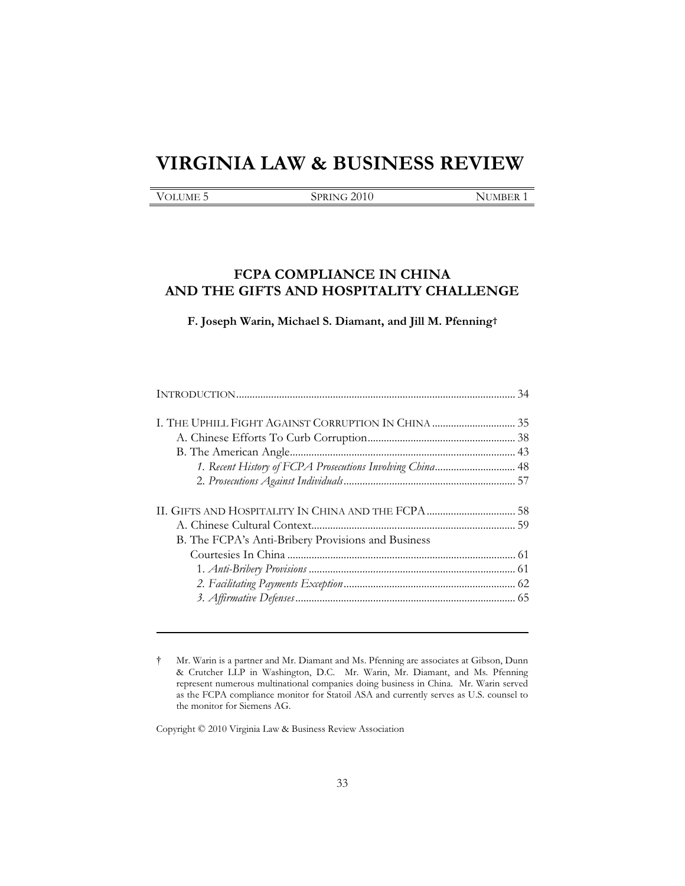# **VIRGINIA LAW & BUSINESS REVIEW**

| )LUME ' |  |
|---------|--|
|---------|--|

SPRING 2010 NUMBER 1

# **FCPA COMPLIANCE IN CHINA AND THE GIFTS AND HOSPITALITY CHALLENGE**

**F. Joseph Warin, Michael S. Diamant, and Jill M. Pfenning†**

| 1. Recent History of FCPA Prosecutions Involving China 48 |  |
|-----------------------------------------------------------|--|
|                                                           |  |
|                                                           |  |
|                                                           |  |
| B. The FCPA's Anti-Bribery Provisions and Business        |  |
|                                                           |  |
|                                                           |  |
|                                                           |  |
|                                                           |  |

† Mr. Warin is a partner and Mr. Diamant and Ms. Pfenning are associates at Gibson, Dunn & Crutcher LLP in Washington, D.C. Mr. Warin, Mr. Diamant, and Ms. Pfenning represent numerous multinational companies doing business in China. Mr. Warin served as the FCPA compliance monitor for Statoil ASA and currently serves as U.S. counsel to the monitor for Siemens AG.

Copyright © 2010 Virginia Law & Business Review Association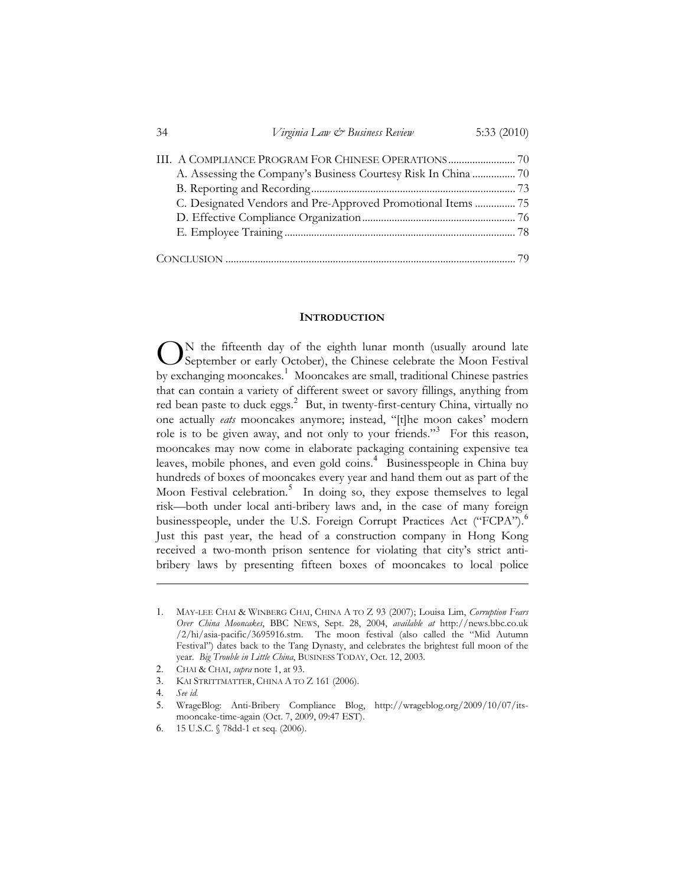| 34 | Virginia Law & Business Review                               | 5:33 $(2010)$ |
|----|--------------------------------------------------------------|---------------|
|    |                                                              |               |
|    |                                                              |               |
|    |                                                              |               |
|    | C. Designated Vendors and Pre-Approved Promotional Items  75 |               |
|    |                                                              |               |
|    |                                                              |               |
|    |                                                              |               |
|    |                                                              |               |

#### **INTRODUCTION**

N the fifteenth day of the eighth lunar month (usually around late September or early October), the Chinese celebrate the Moon Festival  $\bigodot$ <sup>N</sup> the fifteenth day of the eighth lunar month (usually around late September or early October), the Chinese celebrate the Moon Festival by exchanging mooncakes.<sup>1</sup> Mooncakes are small, traditional Chinese pastries that can contain a variety of different sweet or savory fillings, anything from red bean paste to duck eggs.<sup>2</sup> But, in twenty-first-century China, virtually no one actually *eats* mooncakes anymore; instead, "[t]he moon cakes' modern role is to be given away, and not only to your friends."<sup>3</sup> For this reason, mooncakes may now come in elaborate packaging containing expensive tea leaves, mobile phones, and even gold coins.<sup>4</sup> Businesspeople in China buy hundreds of boxes of mooncakes every year and hand them out as part of the Moon Festival celebration.<sup>5</sup> In doing so, they expose themselves to legal risk—both under local anti-bribery laws and, in the case of many foreign businesspeople, under the U.S. Foreign Corrupt Practices Act ("FCPA").<sup>6</sup> Just this past year, the head of a construction company in Hong Kong received a two-month prison sentence for violating that city's strict antibribery laws by presenting fifteen boxes of mooncakes to local police

<sup>1</sup>. MAY-LEE CHAI & WINBERG CHAI, CHINA A TO Z 93 (2007); Louisa Lim, *Corruption Fears Over China Mooncakes*, BBC NEWS, Sept. 28, 2004, *available at* http://news.bbc.co.uk /2/hi/asia-pacific/3695916.stm. The moon festival (also called the "Mid Autumn Festival") dates back to the Tang Dynasty, and celebrates the brightest full moon of the year. *Big Trouble in Little China*, BUSINESS TODAY, Oct. 12, 2003.

<sup>2</sup>. CHAI & CHAI, *supra* note 1, at 93.

<sup>3</sup>. KAI STRITTMATTER, CHINA A TO Z 161 (2006).

<sup>4</sup>. *See id.*

<sup>5</sup>. WrageBlog: Anti-Bribery Compliance Blog, http://wrageblog.org/2009/10/07/itsmooncake-time-again (Oct. 7, 2009, 09:47 EST).

<sup>6</sup>. 15 U.S.C. § 78dd-1 et seq. (2006).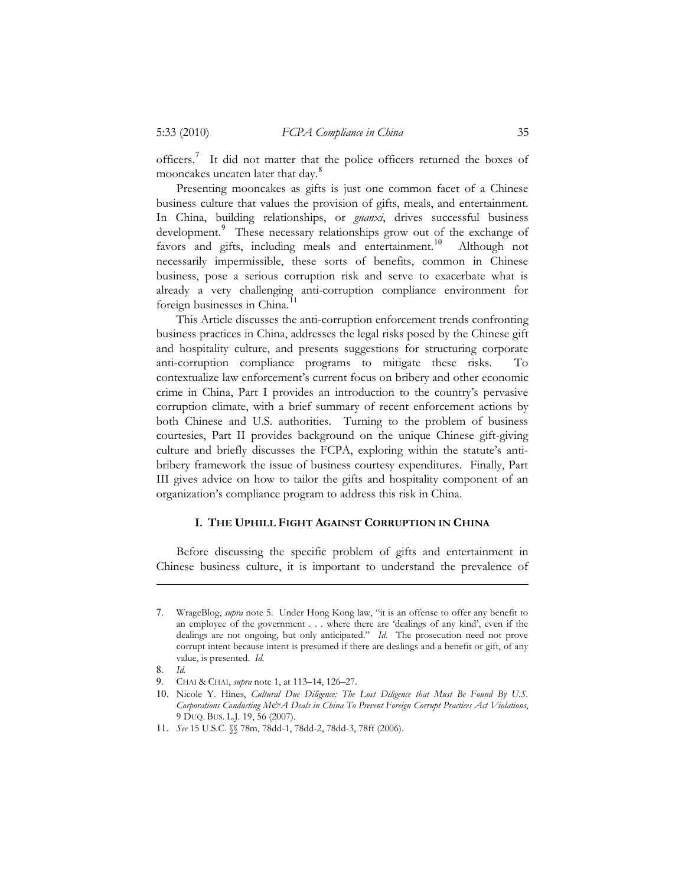officers.<sup>7</sup> It did not matter that the police officers returned the boxes of mooncakes uneaten later that day.<sup>8</sup>

Presenting mooncakes as gifts is just one common facet of a Chinese business culture that values the provision of gifts, meals, and entertainment. In China, building relationships, or *guanxi*, drives successful business development.<sup>9</sup> These necessary relationships grow out of the exchange of favors and gifts, including meals and entertainment.<sup>10</sup> Although not necessarily impermissible, these sorts of benefits, common in Chinese business, pose a serious corruption risk and serve to exacerbate what is already a very challenging anti-corruption compliance environment for foreign businesses in China.<sup>11</sup>

This Article discusses the anti-corruption enforcement trends confronting business practices in China, addresses the legal risks posed by the Chinese gift and hospitality culture, and presents suggestions for structuring corporate anti-corruption compliance programs to mitigate these risks. contextualize law enforcement's current focus on bribery and other economic crime in China, Part I provides an introduction to the country's pervasive corruption climate, with a brief summary of recent enforcement actions by both Chinese and U.S. authorities. Turning to the problem of business courtesies, Part II provides background on the unique Chinese gift-giving culture and briefly discusses the FCPA, exploring within the statute's antibribery framework the issue of business courtesy expenditures. Finally, Part III gives advice on how to tailor the gifts and hospitality component of an organization's compliance program to address this risk in China.

# **I. THE UPHILL FIGHT AGAINST CORRUPTION IN CHINA**

Before discussing the specific problem of gifts and entertainment in Chinese business culture, it is important to understand the prevalence of

<sup>7</sup>. WrageBlog, *supra* note 5. Under Hong Kong law, "it is an offense to offer any benefit to an employee of the government . . . where there are 'dealings of any kind', even if the dealings are not ongoing, but only anticipated." *Id.* The prosecution need not prove corrupt intent because intent is presumed if there are dealings and a benefit or gift, of any value, is presented. *Id.*

<sup>8</sup>. *Id.*

<sup>9</sup>. CHAI & CHAI, *supra* note 1, at 113–14, 126–27.

<sup>10</sup>. Nicole Y. Hines, *Cultural Due Diligence: The Lost Diligence that Must Be Found By U.S. Corporations Conducting M&A Deals in China To Prevent Foreign Corrupt Practices Act Violations*, 9 DUQ. BUS. L.J. 19, 56 (2007).

<sup>11</sup>. *See* 15 U.S.C. §§ 78m, 78dd-1, 78dd-2, 78dd-3, 78ff (2006).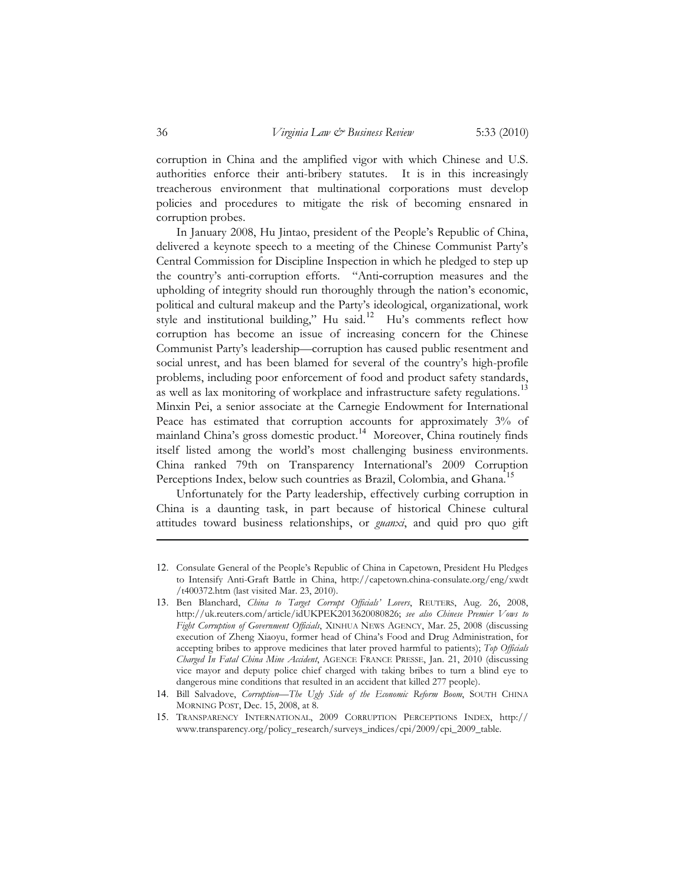corruption in China and the amplified vigor with which Chinese and U.S. authorities enforce their anti-bribery statutes. It is in this increasingly treacherous environment that multinational corporations must develop policies and procedures to mitigate the risk of becoming ensnared in corruption probes.

In January 2008, Hu Jintao, president of the People's Republic of China, delivered a keynote speech to a meeting of the Chinese Communist Party's Central Commission for Discipline Inspection in which he pledged to step up the country's anti-corruption efforts. "Anti-corruption measures and the upholding of integrity should run thoroughly through the nation's economic, political and cultural makeup and the Party's ideological, organizational, work style and institutional building," Hu said.<sup>12</sup> Hu's comments reflect how corruption has become an issue of increasing concern for the Chinese Communist Party's leadership—corruption has caused public resentment and social unrest, and has been blamed for several of the country's high-profile problems, including poor enforcement of food and product safety standards, as well as lax monitoring of workplace and infrastructure safety regulations.<sup>13</sup> Minxin Pei, a senior associate at the Carnegie Endowment for International Peace has estimated that corruption accounts for approximately 3% of mainland China's gross domestic product.<sup>14</sup> Moreover, China routinely finds itself listed among the world's most challenging business environments. China ranked 79th on Transparency International's 2009 Corruption Perceptions Index, below such countries as Brazil, Colombia, and Ghana.<sup>15</sup>

Unfortunately for the Party leadership, effectively curbing corruption in China is a daunting task, in part because of historical Chinese cultural attitudes toward business relationships, or *guanxi*, and quid pro quo gift

<sup>12</sup>. Consulate General of the People's Republic of China in Capetown, President Hu Pledges to Intensify Anti-Graft Battle in China, http://capetown.china-consulate.org/eng/xwdt /t400372.htm (last visited Mar. 23, 2010).

<sup>13</sup>. Ben Blanchard, *China to Target Corrupt Officials' Lovers*, REUTERS, Aug. 26, 2008, http://uk.reuters.com/article/idUKPEK2013620080826; *see also Chinese Premier Vows to Fight Corruption of Government Officials*, XINHUA NEWS AGENCY, Mar. 25, 2008 (discussing execution of Zheng Xiaoyu, former head of China's Food and Drug Administration, for accepting bribes to approve medicines that later proved harmful to patients); *Top Officials Charged In Fatal China Mine Accident*, AGENCE FRANCE PRESSE, Jan. 21, 2010 (discussing vice mayor and deputy police chief charged with taking bribes to turn a blind eye to dangerous mine conditions that resulted in an accident that killed 277 people).

<sup>14</sup>. Bill Salvadove, *Corruption—The Ugly Side of the Economic Reform Boom*, SOUTH CHINA MORNING POST, Dec. 15, 2008, at 8.

<sup>15</sup>. TRANSPARENCY INTERNATIONAL, 2009 CORRUPTION PERCEPTIONS INDEX, http:// www.transparency.org/policy\_research/surveys\_indices/cpi/2009/cpi\_2009\_table.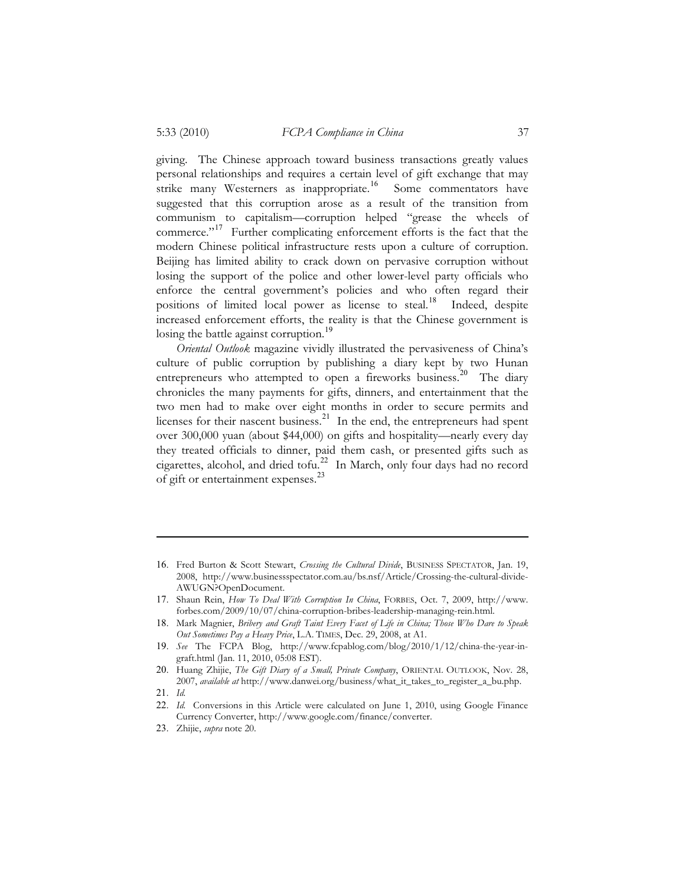giving. The Chinese approach toward business transactions greatly values personal relationships and requires a certain level of gift exchange that may strike many Westerners as inappropriate.<sup>16</sup> Some commentators have suggested that this corruption arose as a result of the transition from communism to capitalism—corruption helped "grease the wheels of commerce."<sup>17</sup> Further complicating enforcement efforts is the fact that the modern Chinese political infrastructure rests upon a culture of corruption. Beijing has limited ability to crack down on pervasive corruption without losing the support of the police and other lower-level party officials who enforce the central government's policies and who often regard their positions of limited local power as license to steal.<sup>18</sup> Indeed, despite increased enforcement efforts, the reality is that the Chinese government is losing the battle against corruption.<sup>19</sup>

*Oriental Outlook* magazine vividly illustrated the pervasiveness of China's culture of public corruption by publishing a diary kept by two Hunan entrepreneurs who attempted to open a fireworks business.<sup>20</sup> The diary chronicles the many payments for gifts, dinners, and entertainment that the two men had to make over eight months in order to secure permits and licenses for their nascent business. $^{21}$  In the end, the entrepreneurs had spent over 300,000 yuan (about \$44,000) on gifts and hospitality—nearly every day they treated officials to dinner, paid them cash, or presented gifts such as cigarettes, alcohol, and dried tofu. $^{22}$  In March, only four days had no record of gift or entertainment expenses.<sup>23</sup>

<sup>16</sup>. Fred Burton & Scott Stewart, *Crossing the Cultural Divide*, BUSINESS SPECTATOR, Jan. 19, 2008, http://www.businessspectator.com.au/bs.nsf/Article/Crossing-the-cultural-divide-AWUGN?OpenDocument.

<sup>17</sup>. Shaun Rein, *How To Deal With Corruption In China*, FORBES, Oct. 7, 2009, http://www. forbes.com/2009/10/07/china-corruption-bribes-leadership-managing-rein.html.

<sup>18</sup>. Mark Magnier, *Bribery and Graft Taint Every Facet of Life in China; Those Who Dare to Speak Out Sometimes Pay a Heavy Price*, L.A. TIMES, Dec. 29, 2008, at A1.

<sup>19</sup>. *See* The FCPA Blog, http://www.fcpablog.com/blog/2010/1/12/china-the-year-ingraft.html (Jan. 11, 2010, 05:08 EST).

<sup>20</sup>. Huang Zhijie, *The Gift Diary of a Small, Private Company*, ORIENTAL OUTLOOK, Nov. 28, 2007, *available at* http://www.danwei.org/business/what\_it\_takes\_to\_register\_a\_bu.php.

<sup>21</sup>. *Id.* 

<sup>22</sup>. *Id.* Conversions in this Article were calculated on June 1, 2010, using Google Finance Currency Converter, http://www.google.com/finance/converter.

<sup>23</sup>. Zhijie, *supra* note 20*.*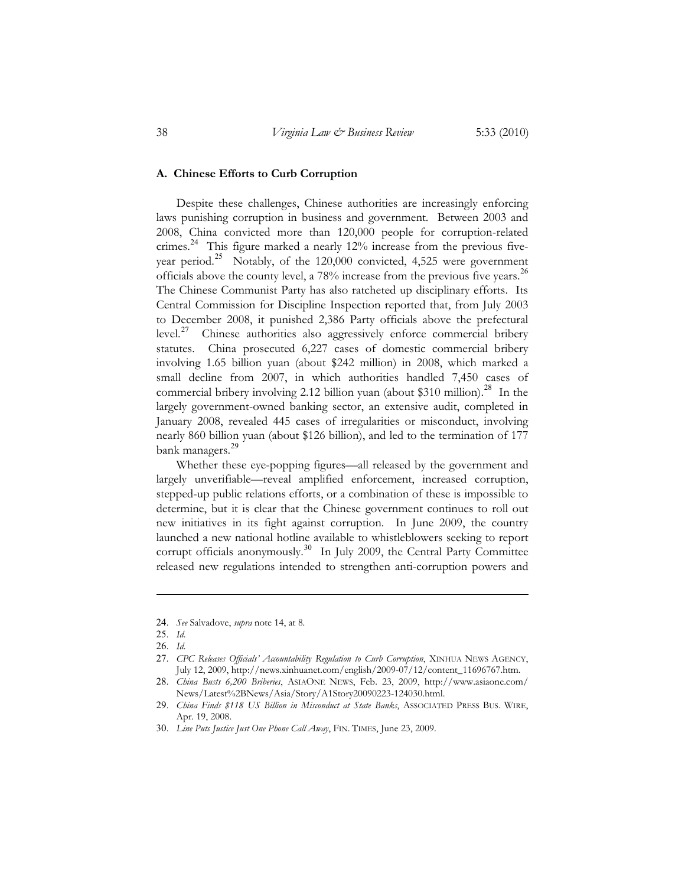#### **A. Chinese Efforts to Curb Corruption**

Despite these challenges, Chinese authorities are increasingly enforcing laws punishing corruption in business and government. Between 2003 and 2008, China convicted more than 120,000 people for corruption-related crimes.<sup>24</sup> This figure marked a nearly 12% increase from the previous fiveyear period.<sup>25</sup> Notably, of the  $120,000$  convicted, 4,525 were government officials above the county level, a  $78\%$  increase from the previous five years.<sup>26</sup> The Chinese Communist Party has also ratcheted up disciplinary efforts. Its Central Commission for Discipline Inspection reported that, from July 2003 to December 2008, it punished 2,386 Party officials above the prefectural  $level.^{27}$  Chinese authorities also aggressively enforce commercial bribery statutes. China prosecuted 6,227 cases of domestic commercial bribery involving 1.65 billion yuan (about \$242 million) in 2008, which marked a small decline from 2007, in which authorities handled 7,450 cases of commercial bribery involving 2.12 billion yuan (about \$310 million).<sup>28</sup> In the largely government-owned banking sector, an extensive audit, completed in January 2008, revealed 445 cases of irregularities or misconduct, involving nearly 860 billion yuan (about \$126 billion), and led to the termination of 177 bank managers.<sup>29</sup>

Whether these eye-popping figures—all released by the government and largely unverifiable—reveal amplified enforcement, increased corruption, stepped-up public relations efforts, or a combination of these is impossible to determine, but it is clear that the Chinese government continues to roll out new initiatives in its fight against corruption. In June 2009, the country launched a new national hotline available to whistleblowers seeking to report corrupt officials anonymously. 30 In July 2009, the Central Party Committee released new regulations intended to strengthen anti-corruption powers and

<sup>24</sup>. *See* Salvadove, *supra* note 14, at 8.

<sup>25</sup>. *Id*.

<sup>26</sup>. *Id*.

<sup>27</sup>. *CPC Releases Officials' Accountability Regulation to Curb Corruption*, XINHUA NEWS AGENCY, July 12, 2009, http://news.xinhuanet.com/english/2009-07/12/content\_11696767.htm.

<sup>28</sup>. *China Busts 6,200 Briberies*, ASIAONE NEWS, Feb. 23, 2009, http://www.asiaone.com/ News/Latest%2BNews/Asia/Story/A1Story20090223-124030.html.

<sup>29</sup>. *China Finds \$118 US Billion in Misconduct at State Banks*, ASSOCIATED PRESS BUS. WIRE, Apr. 19, 2008.

<sup>30</sup>. *Line Puts Justice Just One Phone Call Away*, FIN. TIMES, June 23, 2009.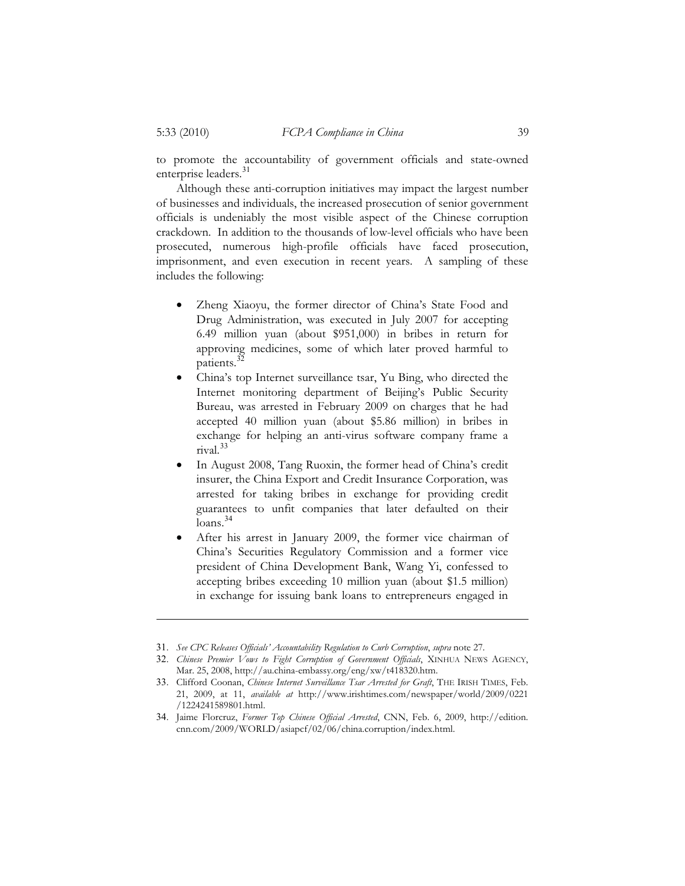to promote the accountability of government officials and state-owned enterprise leaders.<sup>31</sup>

Although these anti-corruption initiatives may impact the largest number of businesses and individuals, the increased prosecution of senior government officials is undeniably the most visible aspect of the Chinese corruption crackdown. In addition to the thousands of low-level officials who have been prosecuted, numerous high-profile officials have faced prosecution, imprisonment, and even execution in recent years. A sampling of these includes the following:

- - Zheng Xiaoyu, the former director of China's State Food and Drug Administration, was executed in July 2007 for accepting 6.49 million yuan (about \$951,000) in bribes in return for approving medicines, some of which later proved harmful to patients.<sup>3</sup>
- $\bullet$  China's top Internet surveillance tsar, Yu Bing, who directed the Internet monitoring department of Beijing's Public Security Bureau, was arrested in February 2009 on charges that he had accepted 40 million yuan (about \$5.86 million) in bribes in exchange for helping an anti-virus software company frame a rival. 33
- $\bullet$  In August 2008, Tang Ruoxin, the former head of China's credit insurer, the China Export and Credit Insurance Corporation, was arrested for taking bribes in exchange for providing credit guarantees to unfit companies that later defaulted on their  $\bar{\text{loans}}$ .  $^{34}$
- - After his arrest in January 2009, the former vice chairman of China's Securities Regulatory Commission and a former vice president of China Development Bank, Wang Yi, confessed to accepting bribes exceeding 10 million yuan (about \$1.5 million) in exchange for issuing bank loans to entrepreneurs engaged in

<sup>31</sup>. *See CPC Releases Officials' Accountability Regulation to Curb Corruption*, *supra* note 27.

<sup>32</sup>. *Chinese Premier Vows to Fight Corruption of Government Officials*, XINHUA NEWS AGENCY, Mar. 25, 2008, http://au.china-embassy.org/eng/xw/t418320.htm.

<sup>33</sup>. Clifford Coonan, *Chinese Internet Surveillance Tsar Arrested for Graft*, THE IRISH TIMES, Feb. 21, 2009, at 11, *available at* http://www.irishtimes.com/newspaper/world/2009/0221 /1224241589801.html.

<sup>34</sup>. Jaime Florcruz, *Former Top Chinese Official Arrested*, CNN, Feb. 6, 2009, http://edition. cnn.com/2009/WORLD/asiapcf/02/06/china.corruption/index.html.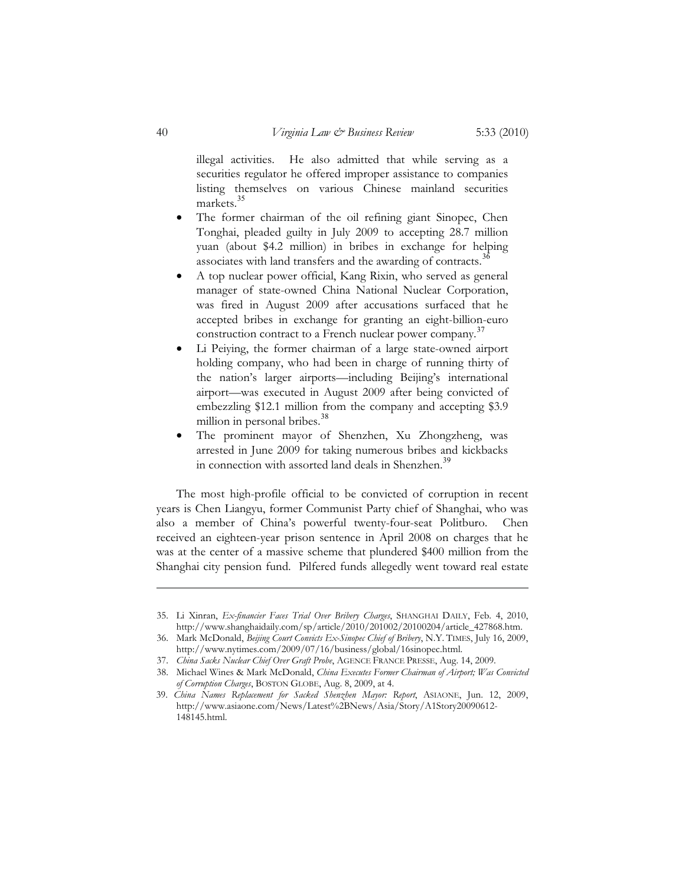illegal activities. He also admitted that while serving as a securities regulator he offered improper assistance to companies listing themselves on various Chinese mainland securities markets.<sup>35</sup>

- $\bullet$  The former chairman of the oil refining giant Sinopec, Chen Tonghai, pleaded guilty in July 2009 to accepting 28.7 million yuan (about \$4.2 million) in bribes in exchange for helping associates with land transfers and the awarding of contracts.<sup>36</sup>
- - A top nuclear power official, Kang Rixin, who served as general manager of state-owned China National Nuclear Corporation, was fired in August 2009 after accusations surfaced that he accepted bribes in exchange for granting an eight-billion-euro construction contract to a French nuclear power company.<sup>37</sup>
- - Li Peiying, the former chairman of a large state-owned airport holding company, who had been in charge of running thirty of the nation's larger airports—including Beijing's international airport—was executed in August 2009 after being convicted of embezzling \$12.1 million from the company and accepting \$3.9 million in personal bribes.<sup>38</sup>
- - The prominent mayor of Shenzhen, Xu Zhongzheng, was arrested in June 2009 for taking numerous bribes and kickbacks in connection with assorted land deals in Shenzhen.<sup>39</sup>

The most high-profile official to be convicted of corruption in recent years is Chen Liangyu, former Communist Party chief of Shanghai, who was also a member of China's powerful twenty-four-seat Politburo. Chen received an eighteen-year prison sentence in April 2008 on charges that he was at the center of a massive scheme that plundered \$400 million from the Shanghai city pension fund. Pilfered funds allegedly went toward real estate

 <sup>35.</sup> Li Xinran, *Ex-financier Faces Trial Over Bribery Charges*, SHANGHAI DAILY, Feb. 4, 2010, http://www.shanghaidaily.com/sp/article/2010/201002/20100204/article\_427868.htm.

 <sup>36.</sup> Mark McDonald, *Beijing Court Convicts Ex-Sinopec Chief of Bribery*, N.Y. TIMES, July 16, 2009, http://www.nytimes.com/2009/07/16/business/global/16sinopec.html.

 <sup>37.</sup> *China Sacks Nuclear Chief Over Graft Probe*, AGENCE FRANCE PRESSE, Aug. 14, 2009.

 <sup>38.</sup> Michael Wines & Mark McDonald, *China Executes Former Chairman of Airport; Was Convicted of Corruption Charges*, BOSTON GLOBE, Aug. 8, 2009, at 4.

<sup>39.</sup> *China Names Replacement for Sacked Shenzhen Mayor: Report*, ASIAONE, Jun. 12, 2009, http://www.asiaone.com/News/Latest%2BNews/Asia/Story/A1Story20090612- 148145.html.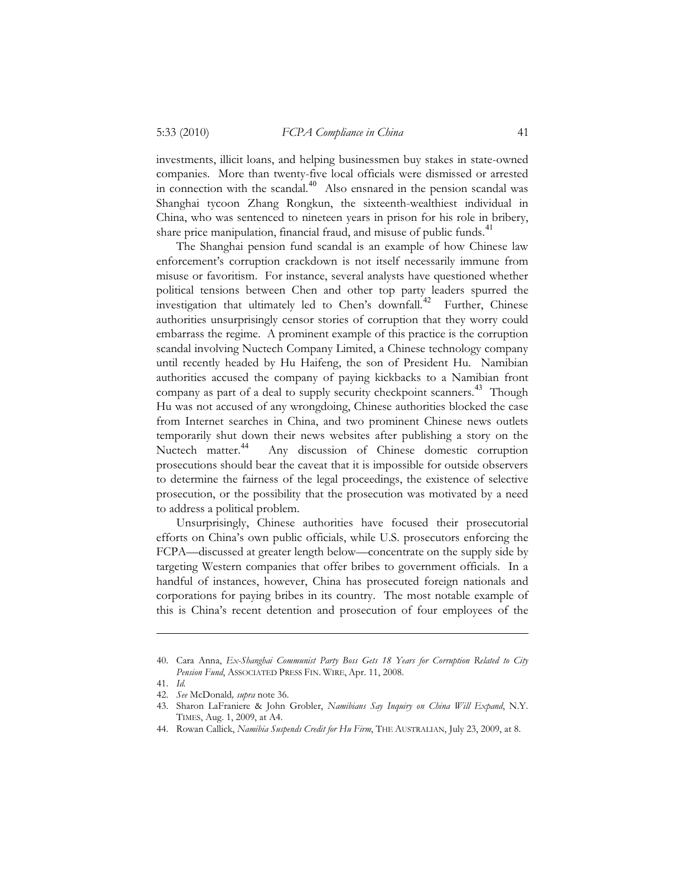investments, illicit loans, and helping businessmen buy stakes in state-owned companies. More than twenty-five local officials were dismissed or arrested in connection with the scandal.<sup>40</sup> Also ensnared in the pension scandal was Shanghai tycoon Zhang Rongkun, the sixteenth-wealthiest individual in China, who was sentenced to nineteen years in prison for his role in bribery, share price manipulation, financial fraud, and misuse of public funds.<sup>41</sup>

The Shanghai pension fund scandal is an example of how Chinese law enforcement's corruption crackdown is not itself necessarily immune from misuse or favoritism. For instance, several analysts have questioned whether political tensions between Chen and other top party leaders spurred the investigation that ultimately led to Chen's downfall.<sup>42</sup> Further, Chinese authorities unsurprisingly censor stories of corruption that they worry could embarrass the regime. A prominent example of this practice is the corruption scandal involving Nuctech Company Limited, a Chinese technology company until recently headed by Hu Haifeng, the son of President Hu. Namibian authorities accused the company of paying kickbacks to a Namibian front company as part of a deal to supply security checkpoint scanners.<sup>43</sup> Though Hu was not accused of any wrongdoing, Chinese authorities blocked the case from Internet searches in China, and two prominent Chinese news outlets temporarily shut down their news websites after publishing a story on the Nuctech matter.<sup>44</sup> Any discussion of Chinese domestic corruption prosecutions should bear the caveat that it is impossible for outside observers to determine the fairness of the legal proceedings, the existence of selective prosecution, or the possibility that the prosecution was motivated by a need to address a political problem.

Unsurprisingly, Chinese authorities have focused their prosecutorial efforts on China's own public officials, while U.S. prosecutors enforcing the FCPA—discussed at greater length below—concentrate on the supply side by targeting Western companies that offer bribes to government officials. In a handful of instances, however, China has prosecuted foreign nationals and corporations for paying bribes in its country. The most notable example of this is China's recent detention and prosecution of four employees of the

 <sup>40.</sup> Cara Anna, *Ex-Shanghai Communist Party Boss Gets 18 Years for Corruption Related to City Pension Fund*, ASSOCIATED PRESS FIN. WIRE, Apr. 11, 2008.

 <sup>41.</sup> *Id.*

 <sup>42.</sup> *See* McDonald*, supra* note 36.

 <sup>43.</sup> Sharon LaFraniere & John Grobler, *Namibians Say Inquiry on China Will Expand*, N.Y. TIMES, Aug. 1, 2009, at A4.

 <sup>44.</sup> Rowan Callick, *Namibia Suspends Credit for Hu Firm*, THE AUSTRALIAN, July 23, 2009, at 8.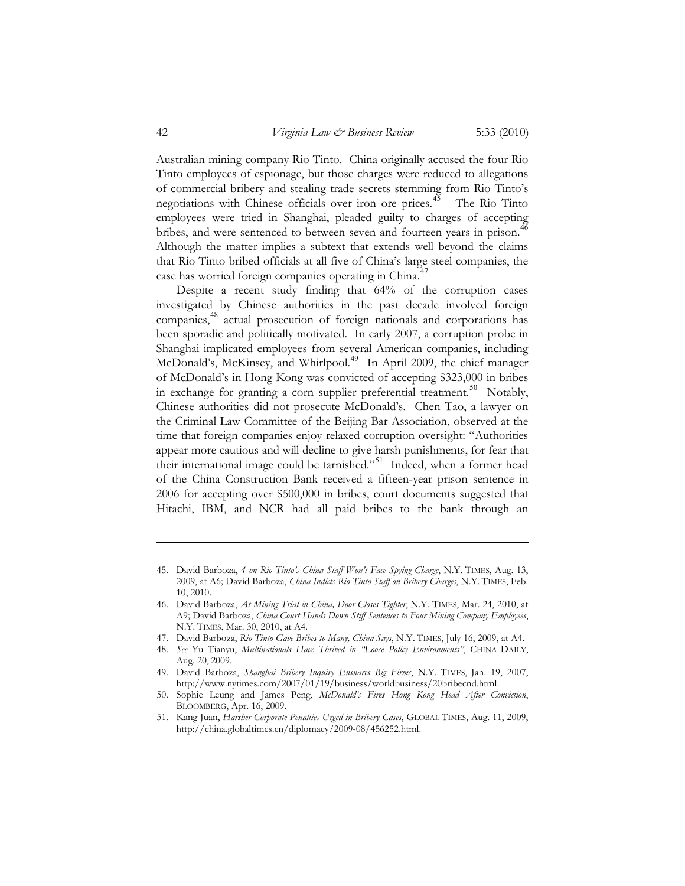Australian mining company Rio Tinto. China originally accused the four Rio Tinto employees of espionage, but those charges were reduced to allegations of commercial bribery and stealing trade secrets stemming from Rio Tinto's negotiations with Chinese officials over iron ore prices.<sup>45</sup> The Rio Tinto employees were tried in Shanghai, pleaded guilty to charges of accepting bribes, and were sentenced to between seven and fourteen years in prison.<sup>46</sup> Although the matter implies a subtext that extends well beyond the claims that Rio Tinto bribed officials at all five of China's large steel companies, the case has worried foreign companies operating in China.<sup>4</sup>

Despite a recent study finding that 64% of the corruption cases investigated by Chinese authorities in the past decade involved foreign companies,<sup>48</sup> actual prosecution of foreign nationals and corporations has been sporadic and politically motivated. In early 2007, a corruption probe in Shanghai implicated employees from several American companies, including McDonald's, McKinsey, and Whirlpool.<sup>49</sup> In April 2009, the chief manager of McDonald's in Hong Kong was convicted of accepting \$323,000 in bribes in exchange for granting a corn supplier preferential treatment.<sup>50</sup> Notably, Chinese authorities did not prosecute McDonald's. Chen Tao, a lawyer on the Criminal Law Committee of the Beijing Bar Association, observed at the time that foreign companies enjoy relaxed corruption oversight: "Authorities appear more cautious and will decline to give harsh punishments, for fear that their international image could be tarnished."<sup>51</sup> Indeed, when a former head of the China Construction Bank received a fifteen-year prison sentence in 2006 for accepting over \$500,000 in bribes, court documents suggested that Hitachi, IBM, and NCR had all paid bribes to the bank through an

- 46. David Barboza, *At Mining Trial in China, Door Closes Tighter*, N.Y. TIMES, Mar. 24, 2010, at A9; David Barboza, *China Court Hands Down Stiff Sentences to Four Mining Company Employees*, N.Y. TIMES, Mar. 30, 2010, at A4.
- 47. David Barboza, *Rio Tinto Gave Bribes to Many, China Says*, N.Y. TIMES, July 16, 2009, at A4.
- 48. *See* Yu Tianyu, *Multinationals Have Thrived in "Loose Policy Environments"*, CHINA DAILY, Aug. 20, 2009.
- 49. David Barboza, *Shanghai Bribery Inquiry Ensnares Big Firms*, N.Y. TIMES, Jan. 19, 2007, http://www.nytimes.com/2007/01/19/business/worldbusiness/20bribecnd.html.
- 50. Sophie Leung and James Peng, *McDonald's Fires Hong Kong Head After Conviction*, BLOOMBERG, Apr. 16, 2009.
- 51. Kang Juan, *Harsher Corporate Penalties Urged in Bribery Cases*, GLOBAL TIMES, Aug. 11, 2009, http://china.globaltimes.cn/diplomacy/2009-08/456252.html.

 <sup>45.</sup> David Barboza, *4 on Rio Tinto's China Staff Won't Face Spying Charge*, N.Y. TIMES, Aug. 13, 2009, at A6; David Barboza, *China Indicts Rio Tinto Staff on Bribery Charges*, N.Y. TIMES, Feb. 10, 2010.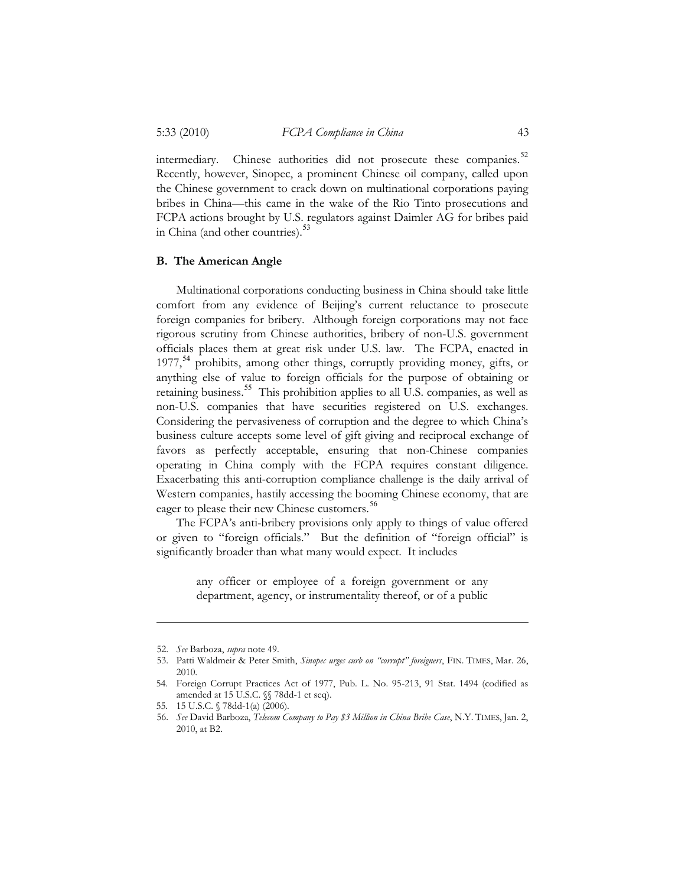#### 5:33 (2010) *FCPA Compliance in China* 43

intermediary. Chinese authorities did not prosecute these companies.<sup>52</sup> Recently, however, Sinopec, a prominent Chinese oil company, called upon the Chinese government to crack down on multinational corporations paying bribes in China—this came in the wake of the Rio Tinto prosecutions and FCPA actions brought by U.S. regulators against Daimler AG for bribes paid in China (and other countries).<sup>53</sup>

#### **B. The American Angle**

Multinational corporations conducting business in China should take little comfort from any evidence of Beijing's current reluctance to prosecute foreign companies for bribery. Although foreign corporations may not face rigorous scrutiny from Chinese authorities, bribery of non-U.S. government officials places them at great risk under U.S. law. The FCPA, enacted in  $1977,$ <sup>54</sup> prohibits, among other things, corruptly providing money, gifts, or anything else of value to foreign officials for the purpose of obtaining or retaining business.<sup>55</sup> This prohibition applies to all U.S. companies, as well as non-U.S. companies that have securities registered on U.S. exchanges. Considering the pervasiveness of corruption and the degree to which China's business culture accepts some level of gift giving and reciprocal exchange of favors as perfectly acceptable, ensuring that non-Chinese companies operating in China comply with the FCPA requires constant diligence. Exacerbating this anti-corruption compliance challenge is the daily arrival of Western companies, hastily accessing the booming Chinese economy, that are eager to please their new Chinese customers.<sup>56</sup>

The FCPA's anti-bribery provisions only apply to things of value offered or given to "foreign officials." But the definition of "foreign official" is significantly broader than what many would expect. It includes

> any officer or employee of a foreign government or any department, agency, or instrumentality thereof, or of a public

 <sup>52.</sup> *See* Barboza, *supra* note 49.

 <sup>53.</sup> Patti Waldmeir & Peter Smith, *Sinopec urges curb on "corrupt" foreigners*, FIN. TIMES, Mar. 26, 2010.

<sup>54.</sup> Foreign Corrupt Practices Act of 1977, Pub. L. No. 95-213, 91 Stat. 1494 (codified as amended at 15 U.S.C. §§ 78dd-1 et seq).

<sup>55. 15</sup> U.S.C. § 78dd-1(a) (2006).

 <sup>56.</sup> *See* David Barboza, *Telecom Company to Pay \$3 Million in China Bribe Case*, N.Y. TIMES, Jan. 2, 2010, at B2.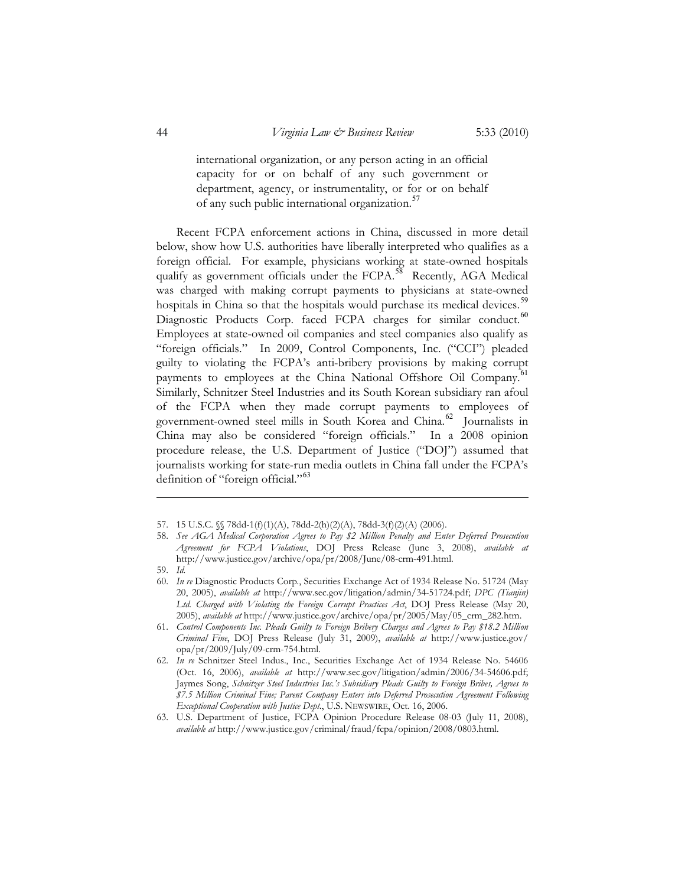international organization, or any person acting in an official capacity for or on behalf of any such government or department, agency, or instrumentality, or for or on behalf of any such public international organization.<sup>57</sup>

Recent FCPA enforcement actions in China, discussed in more detail below, show how U.S. authorities have liberally interpreted who qualifies as a foreign official. For example, physicians working at state-owned hospitals qualify as government officials under the FCPA.<sup>58</sup> Recently, AGA Medical was charged with making corrupt payments to physicians at state-owned hospitals in China so that the hospitals would purchase its medical devices.<sup>59</sup> Diagnostic Products Corp. faced FCPA charges for similar conduct.<sup>60</sup> Employees at state-owned oil companies and steel companies also qualify as "foreign officials." In 2009, Control Components, Inc. ("CCI") pleaded guilty to violating the FCPA's anti-bribery provisions by making corrupt payments to employees at the China National Offshore Oil Company.<sup>61</sup> Similarly, Schnitzer Steel Industries and its South Korean subsidiary ran afoul of the FCPA when they made corrupt payments to employees of government-owned steel mills in South Korea and China.<sup>62</sup> Journalists in China may also be considered "foreign officials." In a 2008 opinion procedure release, the U.S. Department of Justice ("DOJ") assumed that journalists working for state-run media outlets in China fall under the FCPA's definition of "foreign official."<sup>63</sup>

 <sup>57. 15</sup> U.S.C. §§ 78dd-1(f)(1)(A), 78dd-2(h)(2)(A), 78dd-3(f)(2)(A) (2006).

 <sup>58.</sup> *See AGA Medical Corporation Agrees to Pay \$2 Million Penalty and Enter Deferred Prosecution Agreement for FCPA Violations*, DOJ Press Release (June 3, 2008), *available at* http://www.justice.gov/archive/opa/pr/2008/June/08-crm-491.html.

 <sup>59.</sup> *Id.* 

 <sup>60.</sup> *In re* Diagnostic Products Corp*.*, Securities Exchange Act of 1934 Release No. 51724 (May 20, 2005), *available at* http://www.sec.gov/litigation/admin/34-51724.pdf; *DPC (Tianjin) Ltd. Charged with Violating the Foreign Corrupt Practices Act*, DOJ Press Release (May 20, 2005), *available at* http://www.justice.gov/archive/opa/pr/2005/May/05\_crm\_282.htm.

 <sup>61.</sup> *Control Components Inc. Pleads Guilty to Foreign Bribery Charges and Agrees to Pay \$18.2 Million Criminal Fine*, DOJ Press Release (July 31, 2009), *available at* http://www.justice.gov/ opa/pr/2009/July/09-crm-754.html.

 <sup>62.</sup> *In re* Schnitzer Steel Indus., Inc., Securities Exchange Act of 1934 Release No. 54606 (Oct. 16, 2006), *available at* http://www.sec.gov/litigation/admin/2006/34-54606.pdf; Jaymes Song, *Schnitzer Steel Industries Inc.'s Subsidiary Pleads Guilty to Foreign Bribes, Agrees to \$7.5 Million Criminal Fine; Parent Company Enters into Deferred Prosecution Agreement Following Exceptional Cooperation with Justice Dept.*, U.S. NEWSWIRE, Oct. 16, 2006.

 <sup>63.</sup> U.S. Department of Justice, FCPA Opinion Procedure Release 08-03 (July 11, 2008), *available at* http://www.justice.gov/criminal/fraud/fcpa/opinion/2008/0803.html.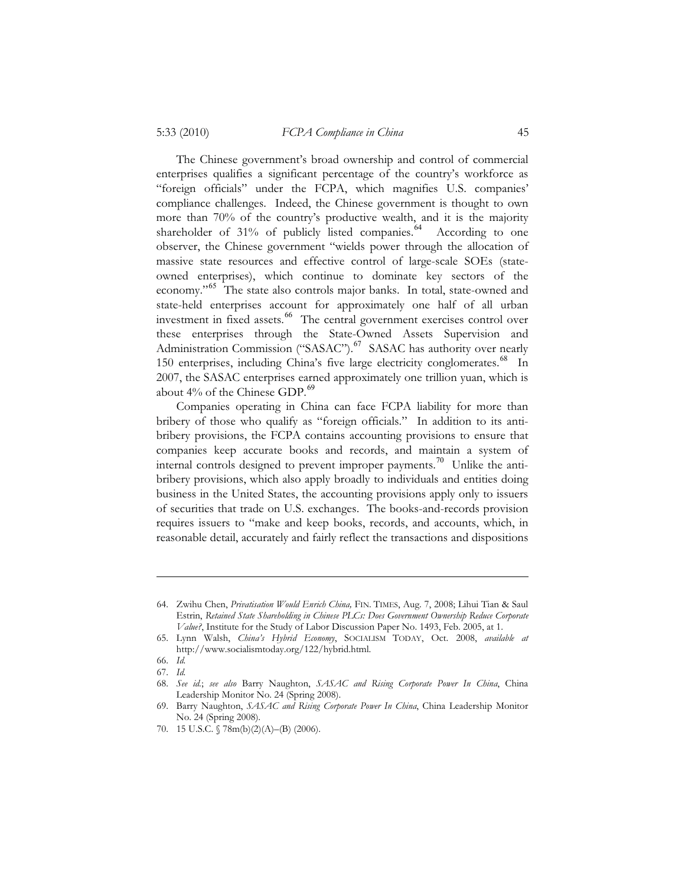The Chinese government's broad ownership and control of commercial enterprises qualifies a significant percentage of the country's workforce as "foreign officials" under the FCPA, which magnifies U.S. companies' compliance challenges. Indeed, the Chinese government is thought to own more than 70% of the country's productive wealth, and it is the majority shareholder of 31% of publicly listed companies.<sup>64</sup> According to one observer, the Chinese government "wields power through the allocation of massive state resources and effective control of large-scale SOEs (stateowned enterprises), which continue to dominate key sectors of the economy."<sup>65</sup> The state also controls major banks. In total, state-owned and state-held enterprises account for approximately one half of all urban investment in fixed assets.<sup>66</sup> The central government exercises control over these enterprises through the State-Owned Assets Supervision and Administration Commission ("SASAC").<sup>67</sup> SASAC has authority over nearly 150 enterprises, including China's five large electricity conglomerates.<sup>68</sup> In 2007, the SASAC enterprises earned approximately one trillion yuan, which is about  $4\%$  of the Chinese GDP. $^{69}$ 

Companies operating in China can face FCPA liability for more than bribery of those who qualify as "foreign officials." In addition to its antibribery provisions, the FCPA contains accounting provisions to ensure that companies keep accurate books and records, and maintain a system of internal controls designed to prevent improper payments.<sup>70</sup> Unlike the antibribery provisions, which also apply broadly to individuals and entities doing business in the United States, the accounting provisions apply only to issuers of securities that trade on U.S. exchanges. The books-and-records provision requires issuers to "make and keep books, records, and accounts, which, in reasonable detail, accurately and fairly reflect the transactions and dispositions

 <sup>64.</sup> Zwihu Chen, *Privatisation Would Enrich China,* FIN. TIMES, Aug. 7, 2008; Lihui Tian & Saul Estrin, *Retained State Shareholding in Chinese PLCs: Does Government Ownership Reduce Corporate Value?*, Institute for the Study of Labor Discussion Paper No. 1493, Feb. 2005, at 1.

 <sup>65.</sup> Lynn Walsh, *China's Hybrid Economy*, SOCIALISM TODAY, Oct. 2008, *available at* http://www.socialismtoday.org/122/hybrid.html.

 <sup>66.</sup> *Id.* 

 <sup>67.</sup> *Id.* 

 <sup>68.</sup> *See id.*; *see also* Barry Naughton, *SASAC and Rising Corporate Power In China*, China Leadership Monitor No. 24 (Spring 2008).

 <sup>69.</sup> Barry Naughton, *SASAC and Rising Corporate Power In China*, China Leadership Monitor No. 24 (Spring 2008).

 <sup>70. 15</sup> U.S.C. § 78m(b)(2)(A)–(B) (2006).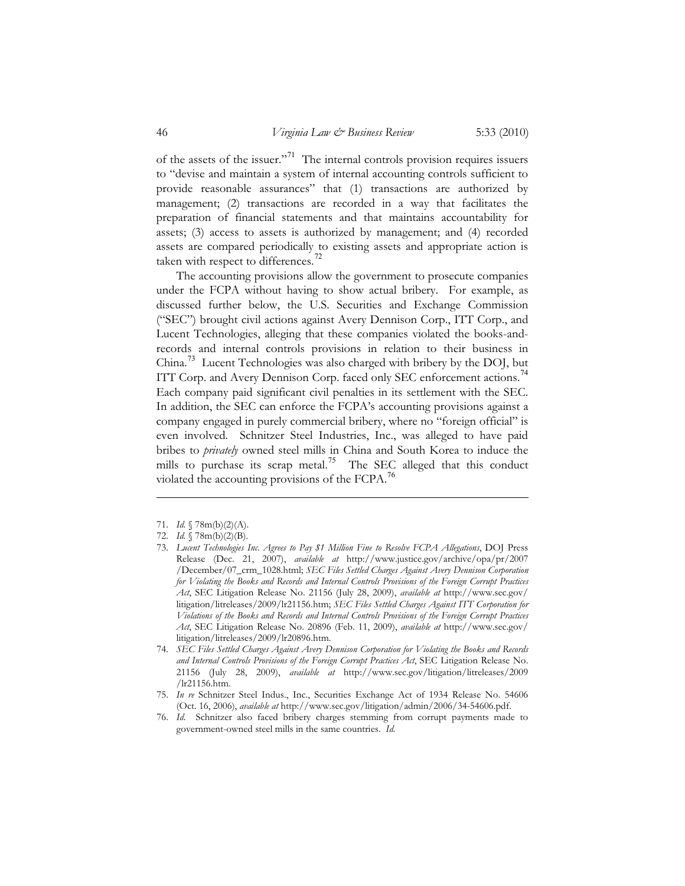of the assets of the issuer."<sup>71</sup> The internal controls provision requires issuers to "devise and maintain a system of internal accounting controls sufficient to provide reasonable assurances" that (1) transactions are authorized by management; (2) transactions are recorded in a way that facilitates the preparation of financial statements and that maintains accountability for assets; (3) access to assets is authorized by management; and (4) recorded assets are compared periodically to existing assets and appropriate action is taken with respect to differences.<sup>72</sup>

The accounting provisions allow the government to prosecute companies under the FCPA without having to show actual bribery. For example, as discussed further below, the U.S. Securities and Exchange Commission ("SEC") brought civil actions against Avery Dennison Corp., ITT Corp., and Lucent Technologies, alleging that these companies violated the books-andrecords and internal controls provisions in relation to their business in China. <sup>73</sup> Lucent Technologies was also charged with bribery by the DOJ, but ITT Corp. and Avery Dennison Corp. faced only SEC enforcement actions.<sup>74</sup> Each company paid significant civil penalties in its settlement with the SEC. In addition, the SEC can enforce the FCPA's accounting provisions against a company engaged in purely commercial bribery, where no "foreign official" is even involved. Schnitzer Steel Industries, Inc., was alleged to have paid bribes to *privately* owned steel mills in China and South Korea to induce the mills to purchase its scrap metal.<sup>75</sup> The SEC alleged that this conduct violated the accounting provisions of the FCPA.<sup>76</sup>

71. *Id.* § 78m(b)(2)(A).

 76. *Id*. Schnitzer also faced bribery charges stemming from corrupt payments made to government-owned steel mills in the same countries. *Id.* 

 <sup>72.</sup> *Id.* § 78m(b)(2)(B).

 <sup>73.</sup> *Lucent Technologies Inc. Agrees to Pay \$1 Million Fine to Resolve FCPA Allegations*, DOJ Press Release (Dec. 21, 2007), *available at* http://www.justice.gov/archive/opa/pr/2007 /December/07\_crm\_1028.html; *SEC Files Settled Charges Against Avery Dennison Corporation for Violating the Books and Records and Internal Controls Provisions of the Foreign Corrupt Practices Act*, SEC Litigation Release No. 21156 (July 28, 2009), *available at* http://www.sec.gov/ litigation/litreleases/2009/lr21156.htm; *SEC Files Settled Charges Against ITT Corporation for Violations of the Books and Records and Internal Controls Provisions of the Foreign Corrupt Practices Act*, SEC Litigation Release No. 20896 (Feb. 11, 2009), *available at* http://www.sec.gov/ litigation/litreleases/2009/lr20896.htm.

 <sup>74.</sup> *SEC Files Settled Charges Against Avery Dennison Corporation for Violating the Books and Records and Internal Controls Provisions of the Foreign Corrupt Practices Act*, SEC Litigation Release No. 21156 (July 28, 2009), *available at* http://www.sec.gov/litigation/litreleases/2009 /lr21156.htm.

 <sup>75.</sup> *In re* Schnitzer Steel Indus., Inc., Securities Exchange Act of 1934 Release No. 54606 (Oct. 16, 2006), *available at* http://www.sec.gov/litigation/admin/2006/34-54606.pdf.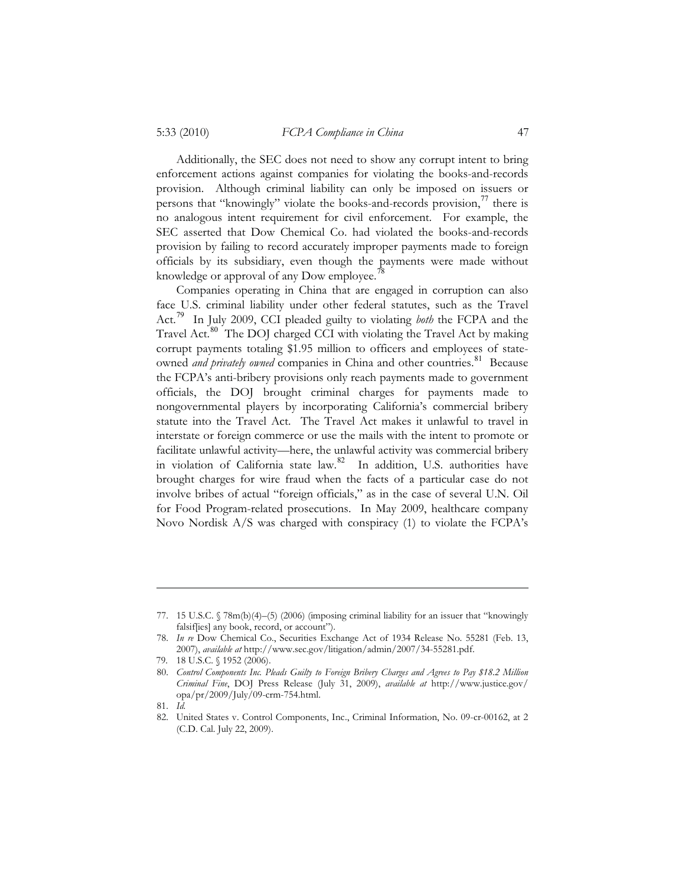Additionally, the SEC does not need to show any corrupt intent to bring enforcement actions against companies for violating the books-and-records provision. Although criminal liability can only be imposed on issuers or persons that "knowingly" violate the books-and-records provision, $^{77}$  there is no analogous intent requirement for civil enforcement. For example, the SEC asserted that Dow Chemical Co. had violated the books-and-records provision by failing to record accurately improper payments made to foreign officials by its subsidiary, even though the payments were made without knowledge or approval of any Dow employee.<sup>7</sup>

Companies operating in China that are engaged in corruption can also face U.S. criminal liability under other federal statutes, such as the Travel Act.<sup>79</sup> In July 2009, CCI pleaded guilty to violating *both* the FCPA and the Travel Act.<sup>80</sup> The DOJ charged CCI with violating the Travel Act by making corrupt payments totaling \$1.95 million to officers and employees of stateowned *and privately owned* companies in China and other countries.<sup>81</sup> Because the FCPA's anti-bribery provisions only reach payments made to government officials, the DOJ brought criminal charges for payments made to nongovernmental players by incorporating California's commercial bribery statute into the Travel Act. The Travel Act makes it unlawful to travel in interstate or foreign commerce or use the mails with the intent to promote or facilitate unlawful activity—here, the unlawful activity was commercial bribery in violation of California state law.<sup>82</sup> In addition, U.S. authorities have brought charges for wire fraud when the facts of a particular case do not involve bribes of actual "foreign officials," as in the case of several U.N. Oil for Food Program-related prosecutions. In May 2009, healthcare company Novo Nordisk A/S was charged with conspiracy (1) to violate the FCPA's

 <sup>77. 15</sup> U.S.C. § 78m(b)(4)–(5) (2006) (imposing criminal liability for an issuer that "knowingly falsif[ies] any book, record, or account").

 <sup>78.</sup> *In re* Dow Chemical Co., Securities Exchange Act of 1934 Release No. 55281 (Feb. 13, 2007), *available at* http://www.sec.gov/litigation/admin/2007/34-55281.pdf.

<sup>79. 18</sup> U.S.C. § 1952 (2006).

 <sup>80.</sup> *Control Components Inc. Pleads Guilty to Foreign Bribery Charges and Agrees to Pay \$18.2 Million Criminal Fine*, DOJ Press Release (July 31, 2009), *available at* http://www.justice.gov/ opa/pr/2009/July/09-crm-754.html.

 <sup>81.</sup> *Id.*

 <sup>82.</sup> United States v. Control Components, Inc., Criminal Information, No. 09-cr-00162, at 2 (C.D. Cal. July 22, 2009).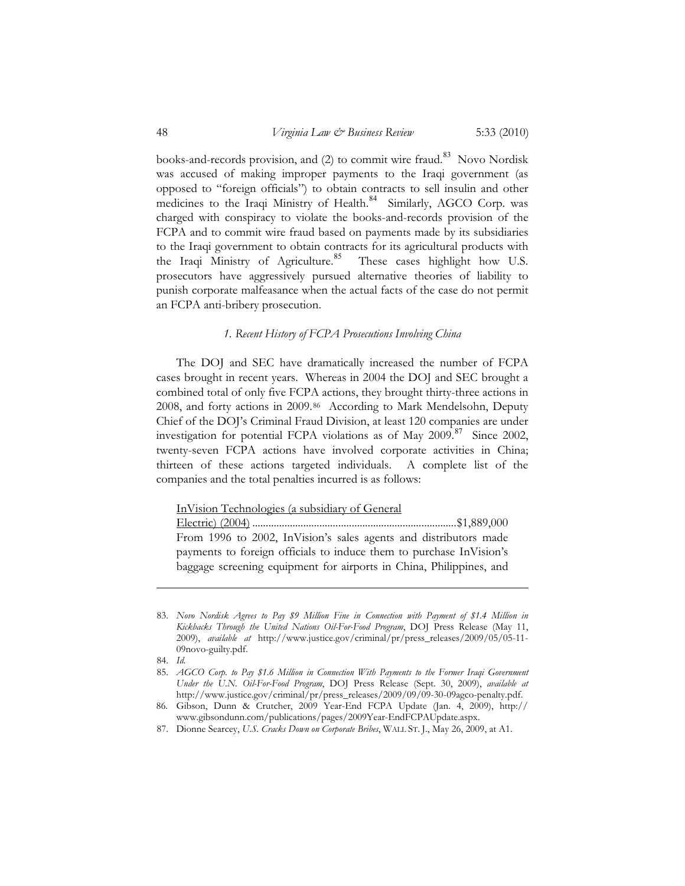books-and-records provision, and  $(2)$  to commit wire fraud.<sup>83</sup> Novo Nordisk was accused of making improper payments to the Iraqi government (as opposed to "foreign officials") to obtain contracts to sell insulin and other medicines to the Iraqi Ministry of Health.<sup>84</sup> Similarly, AGCO Corp. was charged with conspiracy to violate the books-and-records provision of the FCPA and to commit wire fraud based on payments made by its subsidiaries to the Iraqi government to obtain contracts for its agricultural products with the Iraqi Ministry of Agriculture.<sup>85</sup> These cases highlight how U.S. prosecutors have aggressively pursued alternative theories of liability to punish corporate malfeasance when the actual facts of the case do not permit an FCPA anti-bribery prosecution.

#### *1. Recent History of FCPA Prosecutions Involving China*

The DOJ and SEC have dramatically increased the number of FCPA cases brought in recent years. Whereas in 2004 the DOJ and SEC brought a combined total of only five FCPA actions, they brought thirty-three actions in 2008, and forty actions in 2009.86 According to Mark Mendelsohn, Deputy Chief of the DOJ's Criminal Fraud Division, at least 120 companies are under investigation for potential FCPA violations as of May  $2009$ .<sup>87</sup> Since 2002, twenty-seven FCPA actions have involved corporate activities in China; thirteen of these actions targeted individuals. A complete list of the companies and the total penalties incurred is as follows:

InVision Technologies (a subsidiary of General

Electric) (2004) ............................................................................ \$1,889,000 From 1996 to 2002, InVision's sales agents and distributors made payments to foreign officials to induce them to purchase InVision's baggage screening equipment for airports in China, Philippines, and

 <sup>83.</sup> *Novo Nordisk Agrees to Pay \$9 Million Fine in Connection with Payment of \$1.4 Million in Kickbacks Through the United Nations Oil-For-Food Program*, DOJ Press Release (May 11, 2009), *available at* http://www.justice.gov/criminal/pr/press\_releases/2009/05/05-11- 09novo-guilty.pdf.

 <sup>84.</sup> *Id.*

 <sup>85.</sup> *AGCO Corp. to Pay \$1.6 Million in Connection With Payments to the Former Iraqi Government Under the U.N. Oil-For-Food Program*, DOJ Press Release (Sept. 30, 2009), *available at* http://www.justice.gov/criminal/pr/press\_releases/2009/09/09-30-09agco-penalty.pdf.

<sup>86.</sup> Gibson, Dunn & Crutcher, 2009 Year-End FCPA Update (Jan. 4, 2009), http:// www.gibsondunn.com/publications/pages/2009Year-EndFCPAUpdate.aspx.

 <sup>87.</sup> Dionne Searcey, *U.S. Cracks Down on Corporate Bribes*, WALL ST. J., May 26, 2009, at A1.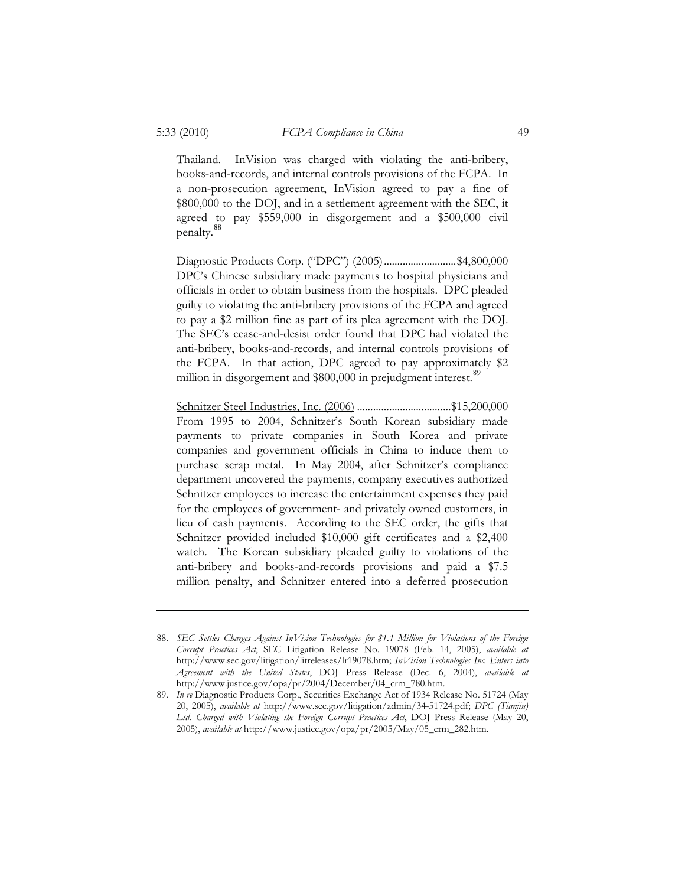Thailand. InVision was charged with violating the anti-bribery, books-and-records, and internal controls provisions of the FCPA. In a non-prosecution agreement, InVision agreed to pay a fine of \$800,000 to the DOJ, and in a settlement agreement with the SEC, it agreed to pay \$559,000 in disgorgement and a \$500,000 civil penalty.<sup>88</sup>

Diagnostic Products Corp. ("DPC") (2005) ........................... \$4,800,000 DPC's Chinese subsidiary made payments to hospital physicians and officials in order to obtain business from the hospitals. DPC pleaded guilty to violating the anti-bribery provisions of the FCPA and agreed to pay a \$2 million fine as part of its plea agreement with the DOJ. The SEC's cease-and-desist order found that DPC had violated the anti-bribery, books-and-records, and internal controls provisions of the FCPA. In that action, DPC agreed to pay approximately \$2 million in disgorgement and \$800,000 in prejudgment interest.<sup>89</sup>

Schnitzer Steel Industries, Inc. (2006) ................................... \$15,200,000 From 1995 to 2004, Schnitzer's South Korean subsidiary made payments to private companies in South Korea and private companies and government officials in China to induce them to purchase scrap metal. In May 2004, after Schnitzer's compliance department uncovered the payments, company executives authorized Schnitzer employees to increase the entertainment expenses they paid for the employees of government- and privately owned customers, in lieu of cash payments. According to the SEC order, the gifts that Schnitzer provided included \$10,000 gift certificates and a \$2,400 watch. The Korean subsidiary pleaded guilty to violations of the anti-bribery and books-and-records provisions and paid a \$7.5 million penalty, and Schnitzer entered into a deferred prosecution

 <sup>88.</sup> *SEC Settles Charges Against InVision Technologies for \$1.1 Million for Violations of the Foreign Corrupt Practices Act*, SEC Litigation Release No. 19078 (Feb. 14, 2005), *available at* http://www.sec.gov/litigation/litreleases/lr19078.htm; *InVision Technologies Inc. Enters into Agreement with the United States*, DOJ Press Release (Dec. 6, 2004), *available at* http://www.justice.gov/opa/pr/2004/December/04\_crm\_780.htm.

 <sup>89.</sup> *In re* Diagnostic Products Corp., Securities Exchange Act of 1934 Release No. 51724 (May 20, 2005), *available at* http://www.sec.gov/litigation/admin/34-51724.pdf; *DPC (Tianjin) Ltd. Charged with Violating the Foreign Corrupt Practices Act*, DOJ Press Release (May 20, 2005), *available at* http://www.justice.gov/opa/pr/2005/May/05\_crm\_282.htm.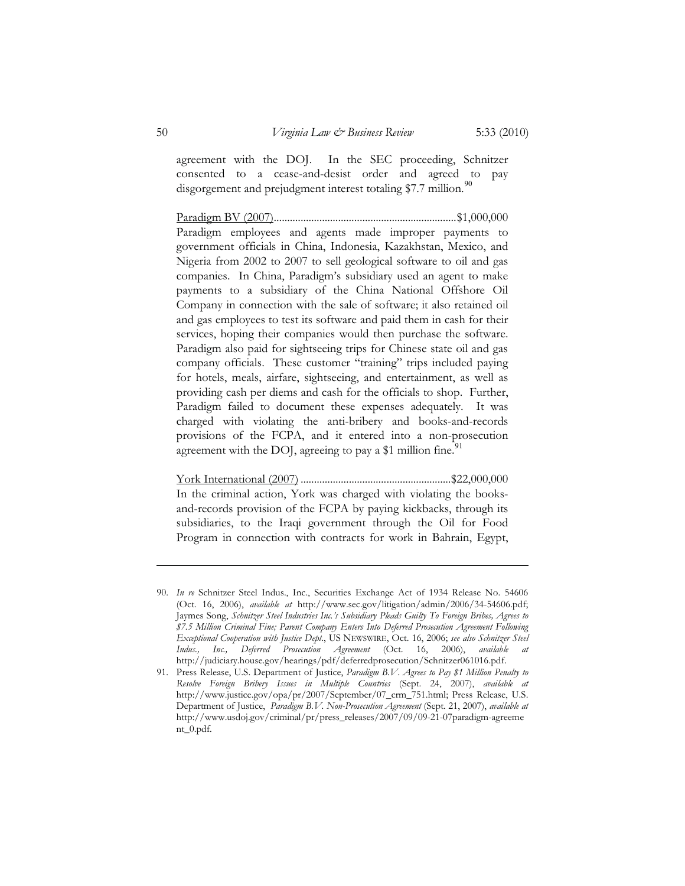agreement with the DOJ. In the SEC proceeding, Schnitzer consented to a cease-and-desist order and agreed to pay disgorgement and prejudgment interest totaling \$7.7 million.<sup>90</sup>

Paradigm BV (2007) .................................................................... \$1,000,000 Paradigm employees and agents made improper payments to government officials in China, Indonesia, Kazakhstan, Mexico, and Nigeria from 2002 to 2007 to sell geological software to oil and gas companies. In China, Paradigm's subsidiary used an agent to make payments to a subsidiary of the China National Offshore Oil Company in connection with the sale of software; it also retained oil and gas employees to test its software and paid them in cash for their services, hoping their companies would then purchase the software. Paradigm also paid for sightseeing trips for Chinese state oil and gas company officials. These customer "training" trips included paying for hotels, meals, airfare, sightseeing, and entertainment, as well as providing cash per diems and cash for the officials to shop. Further, Paradigm failed to document these expenses adequately. It was charged with violating the anti-bribery and books-and-records provisions of the FCPA, and it entered into a non-prosecution agreement with the DOJ, agreeing to pay a \$1 million fine.<sup>91</sup>

York International (2007) ........................................................ \$22,000,000 In the criminal action, York was charged with violating the booksand-records provision of the FCPA by paying kickbacks, through its subsidiaries, to the Iraqi government through the Oil for Food Program in connection with contracts for work in Bahrain, Egypt,

 <sup>90.</sup> *In re* Schnitzer Steel Indus., Inc., Securities Exchange Act of 1934 Release No. 54606 (Oct. 16, 2006), *available at* http://www.sec.gov/litigation/admin/2006/34-54606.pdf; Jaymes Song, *Schnitzer Steel Industries Inc.'s Subsidiary Pleads Guilty To Foreign Bribes, Agrees to \$7.5 Million Criminal Fine; Parent Company Enters Into Deferred Prosecution Agreement Following Exceptional Cooperation with Justice Dept.*, US NEWSWIRE, Oct. 16, 2006; *see also Schnitzer Steel Indus., Inc., Deferred Prosecution Agreement* (Oct. 16, 2006), *available at* http://judiciary.house.gov/hearings/pdf/deferredprosecution/Schnitzer061016.pdf.

 <sup>91.</sup> Press Release, U.S. Department of Justice, *Paradigm B.V. Agrees to Pay \$1 Million Penalty to Resolve Foreign Bribery Issues in Multiple Countries* (Sept. 24, 2007), *available at* http://www.justice.gov/opa/pr/2007/September/07\_crm\_751.html; Press Release, U.S. Department of Justice, *Paradigm B.V. Non-Prosecution Agreement* (Sept. 21, 2007), *available at* http://www.usdoj.gov/criminal/pr/press\_releases/2007/09/09-21-07paradigm-agreeme nt\_0.pdf.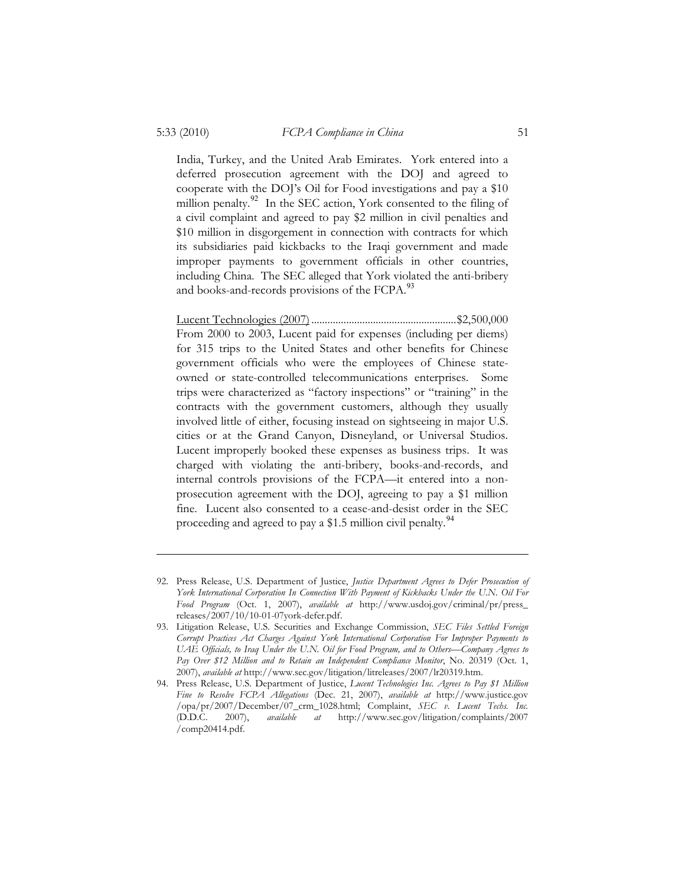India, Turkey, and the United Arab Emirates. York entered into a deferred prosecution agreement with the DOJ and agreed to cooperate with the DOJ's Oil for Food investigations and pay a \$10 million penalty. $92$  In the SEC action, York consented to the filing of a civil complaint and agreed to pay \$2 million in civil penalties and \$10 million in disgorgement in connection with contracts for which its subsidiaries paid kickbacks to the Iraqi government and made improper payments to government officials in other countries, including China. The SEC alleged that York violated the anti-bribery and books-and-records provisions of the FCPA.<sup>93</sup>

Lucent Technologies (2007) ...................................................... \$2,500,000 From 2000 to 2003, Lucent paid for expenses (including per diems) for 315 trips to the United States and other benefits for Chinese government officials who were the employees of Chinese stateowned or state-controlled telecommunications enterprises. Some trips were characterized as "factory inspections" or "training" in the contracts with the government customers, although they usually involved little of either, focusing instead on sightseeing in major U.S. cities or at the Grand Canyon, Disneyland, or Universal Studios. Lucent improperly booked these expenses as business trips. It was charged with violating the anti-bribery, books-and-records, and internal controls provisions of the FCPA—it entered into a nonprosecution agreement with the DOJ, agreeing to pay a \$1 million fine. Lucent also consented to a cease-and-desist order in the SEC proceeding and agreed to pay a \$1.5 million civil penalty.<sup>94</sup>

 <sup>92.</sup> Press Release, U.S. Department of Justice, *Justice Department Agrees to Defer Prosecution of York International Corporation In Connection With Payment of Kickbacks Under the U.N. Oil For Food Program* (Oct. 1, 2007), *available at* http://www.usdoj.gov/criminal/pr/press\_ releases/2007/10/10-01-07york-defer.pdf.

 <sup>93.</sup> Litigation Release, U.S. Securities and Exchange Commission, *SEC Files Settled Foreign Corrupt Practices Act Charges Against York International Corporation For Improper Payments to UAE Officials, to Iraq Under the U.N. Oil for Food Program, and to Others—Company Agrees to Pay Over \$12 Million and to Retain an Independent Compliance Monitor*, No. 20319 (Oct. 1, 2007), *available at* http://www.sec.gov/litigation/litreleases/2007/lr20319.htm.

 <sup>94.</sup> Press Release, U.S. Department of Justice, *Lucent Technologies Inc. Agrees to Pay \$1 Million Fine to Resolve FCPA Allegations* (Dec. 21, 2007), *available at* http://www.justice.gov /opa/pr/2007/December/07\_crm\_1028.html; Complaint, *SEC v. Lucent Techs. Inc.* (D.D.C. 2007), *available at* http://www.sec.gov/litigation/complaints/2007 /comp20414.pdf.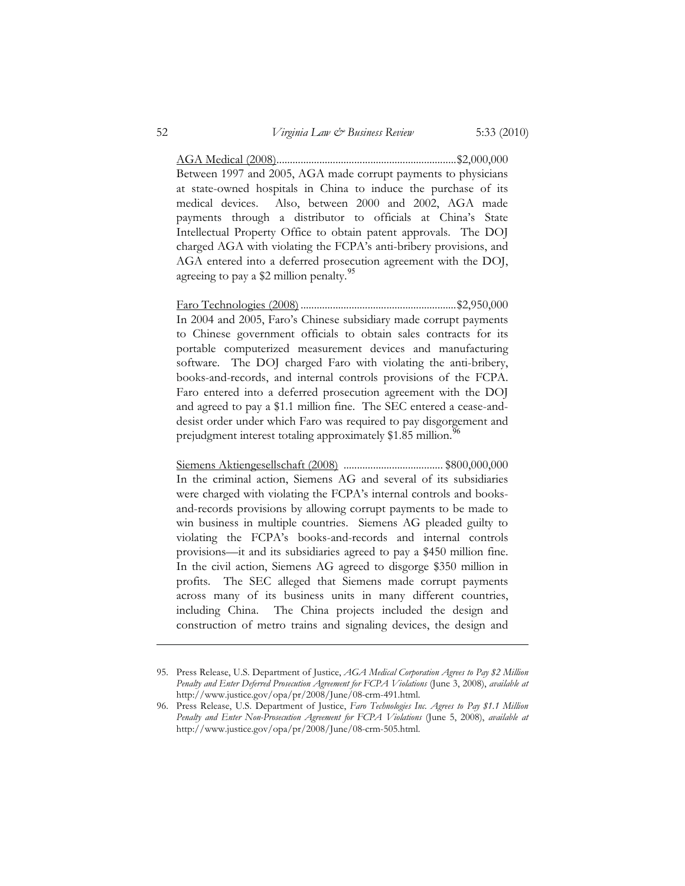AGA Medical (2008) ................................................................... \$2,000,000 Between 1997 and 2005, AGA made corrupt payments to physicians at state-owned hospitals in China to induce the purchase of its medical devices. Also, between 2000 and 2002, AGA made payments through a distributor to officials at China's State Intellectual Property Office to obtain patent approvals. The DOJ charged AGA with violating the FCPA's anti-bribery provisions, and AGA entered into a deferred prosecution agreement with the DOJ, agreeing to pay a  $$2$  million penalty.<sup>95</sup>

Faro Technologies (2008) .......................................................... \$2,950,000 In 2004 and 2005, Faro's Chinese subsidiary made corrupt payments to Chinese government officials to obtain sales contracts for its portable computerized measurement devices and manufacturing software. The DOJ charged Faro with violating the anti-bribery, books-and-records, and internal controls provisions of the FCPA. Faro entered into a deferred prosecution agreement with the DOJ and agreed to pay a \$1.1 million fine. The SEC entered a cease-anddesist order under which Faro was required to pay disgorgement and prejudgment interest totaling approximately \$1.85 million.<sup>96</sup>

Siemens Aktiengesellschaft (2008) ..................................... \$800,000,000 In the criminal action, Siemens AG and several of its subsidiaries were charged with violating the FCPA's internal controls and booksand-records provisions by allowing corrupt payments to be made to win business in multiple countries. Siemens AG pleaded guilty to violating the FCPA's books-and-records and internal controls provisions—it and its subsidiaries agreed to pay a \$450 million fine. In the civil action, Siemens AG agreed to disgorge \$350 million in profits. The SEC alleged that Siemens made corrupt payments across many of its business units in many different countries, including China. The China projects included the design and construction of metro trains and signaling devices, the design and

 <sup>95.</sup> Press Release, U.S. Department of Justice, *AGA Medical Corporation Agrees to Pay \$2 Million Penalty and Enter Deferred Prosecution Agreement for FCPA Violations* (June 3, 2008), *available at* http://www.justice.gov/opa/pr/2008/June/08-crm-491.html.

 <sup>96.</sup> Press Release, U.S. Department of Justice, *Faro Technologies Inc. Agrees to Pay \$1.1 Million Penalty and Enter Non-Prosecution Agreement for FCPA Violations* (June 5, 2008), *available at* http://www.justice.gov/opa/pr/2008/June/08-crm-505.html.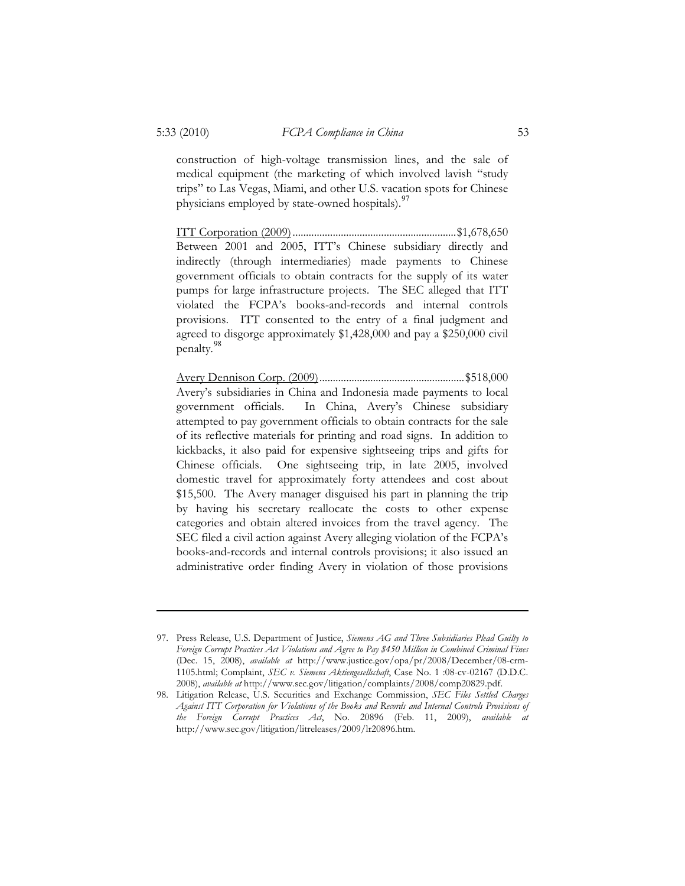construction of high-voltage transmission lines, and the sale of medical equipment (the marketing of which involved lavish "study trips" to Las Vegas, Miami, and other U.S. vacation spots for Chinese physicians employed by state-owned hospitals).  $97$ 

ITT Corporation (2009) ............................................................. \$1,678,650 Between 2001 and 2005, ITT's Chinese subsidiary directly and indirectly (through intermediaries) made payments to Chinese government officials to obtain contracts for the supply of its water pumps for large infrastructure projects. The SEC alleged that ITT violated the FCPA's books-and-records and internal controls provisions. ITT consented to the entry of a final judgment and agreed to disgorge approximately \$1,428,000 and pay a \$250,000 civil penalty.<sup>98</sup>

Avery Dennison Corp. (2009) ...................................................... \$518,000 Avery's subsidiaries in China and Indonesia made payments to local government officials. In China, Avery's Chinese subsidiary attempted to pay government officials to obtain contracts for the sale of its reflective materials for printing and road signs. In addition to kickbacks, it also paid for expensive sightseeing trips and gifts for Chinese officials. One sightseeing trip, in late 2005, involved domestic travel for approximately forty attendees and cost about \$15,500. The Avery manager disguised his part in planning the trip by having his secretary reallocate the costs to other expense categories and obtain altered invoices from the travel agency. The SEC filed a civil action against Avery alleging violation of the FCPA's books-and-records and internal controls provisions; it also issued an administrative order finding Avery in violation of those provisions

 <sup>97.</sup> Press Release, U.S. Department of Justice, *Siemens AG and Three Subsidiaries Plead Guilty to Foreign Corrupt Practices Act Violations and Agree to Pay \$450 Million in Combined Criminal Fines*  (Dec. 15, 2008), *available at* http://www.justice.gov/opa/pr/2008/December/08-crm-1105.html; Complaint, *SEC v. Siemens Aktiengesellschaft*, Case No. 1 :08-cv-02167 (D.D.C. 2008), *available at* http://www.sec.gov/litigation/complaints/2008/comp20829.pdf.

 <sup>98.</sup> Litigation Release, U.S. Securities and Exchange Commission, *SEC Files Settled Charges Against ITT Corporation for Violations of the Books and Records and Internal Controls Provisions of the Foreign Corrupt Practices Act*, No. 20896 (Feb. 11, 2009), *available at* http://www.sec.gov/litigation/litreleases/2009/lr20896.htm.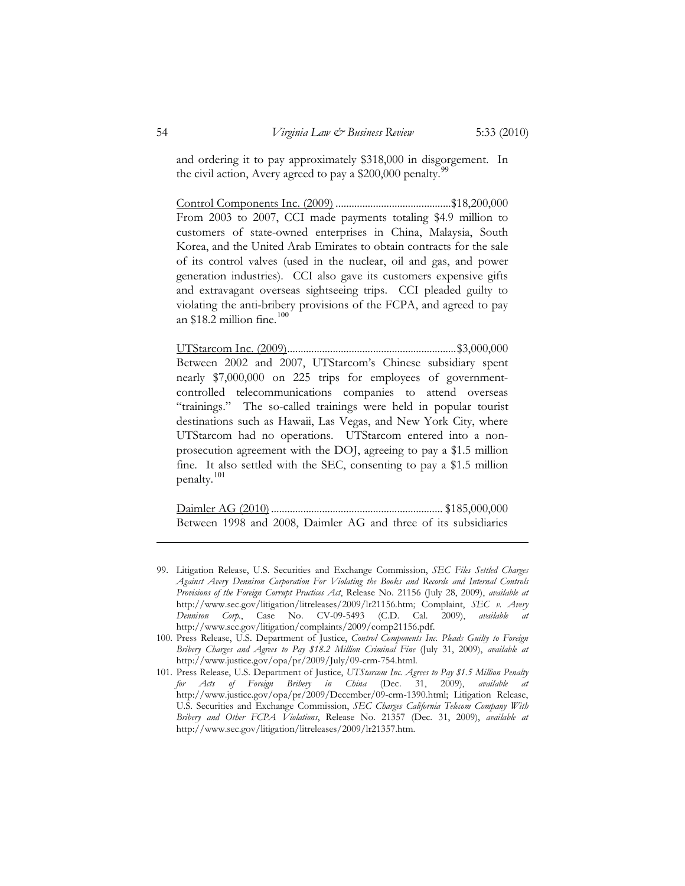and ordering it to pay approximately \$318,000 in disgorgement. In the civil action, Avery agreed to pay a  $$200,000$  penalty.<sup>9</sup>

Control Components Inc. (2009) ........................................... \$18,200,000 From 2003 to 2007, CCI made payments totaling \$4.9 million to customers of state-owned enterprises in China, Malaysia, South Korea, and the United Arab Emirates to obtain contracts for the sale of its control valves (used in the nuclear, oil and gas, and power generation industries). CCI also gave its customers expensive gifts and extravagant overseas sightseeing trips. CCI pleaded guilty to violating the anti-bribery provisions of the FCPA, and agreed to pay an \$18.2 million fine.<sup>100</sup>

UTStarcom Inc. (2009) ............................................................... \$3,000,000 Between 2002 and 2007, UTStarcom's Chinese subsidiary spent nearly \$7,000,000 on 225 trips for employees of governmentcontrolled telecommunications companies to attend overseas "trainings." The so-called trainings were held in popular tourist destinations such as Hawaii, Las Vegas, and New York City, where UTStarcom had no operations. UTStarcom entered into a nonprosecution agreement with the DOJ, agreeing to pay a \$1.5 million fine. It also settled with the SEC, consenting to pay a \$1.5 million penalty. 101

Daimler AG (2010) ................................................................ \$185,000,000 Between 1998 and 2008, Daimler AG and three of its subsidiaries

 <sup>99.</sup> Litigation Release, U.S. Securities and Exchange Commission, *SEC Files Settled Charges Against Avery Dennison Corporation For Violating the Books and Records and Internal Controls Provisions of the Foreign Corrupt Practices Act*, Release No. 21156 (July 28, 2009), *available at* http://www.sec.gov/litigation/litreleases/2009/lr21156.htm; Complaint, *SEC v. Avery Dennison Corp.*, Case No. CV-09-5493 (C.D. Cal. 2009), *available at* http://www.sec.gov/litigation/complaints/2009/comp21156.pdf.

<sup>100.</sup> Press Release, U.S. Department of Justice, *Control Components Inc. Pleads Guilty to Foreign Bribery Charges and Agrees to Pay \$18.2 Million Criminal Fine* (July 31, 2009), *available at* http://www.justice.gov/opa/pr/2009/July/09-crm-754.html.

<sup>101.</sup> Press Release, U.S. Department of Justice, *UTStarcom Inc. Agrees to Pay \$1.5 Million Penalty for Acts of Foreign Bribery in China* (Dec. 31, 2009), *available at* http://www.justice.gov/opa/pr/2009/December/09-crm-1390.html; Litigation Release, U.S. Securities and Exchange Commission, *SEC Charges California Telecom Company With Bribery and Other FCPA Violations*, Release No. 21357 (Dec. 31, 2009), *available at* http://www.sec.gov/litigation/litreleases/2009/lr21357.htm.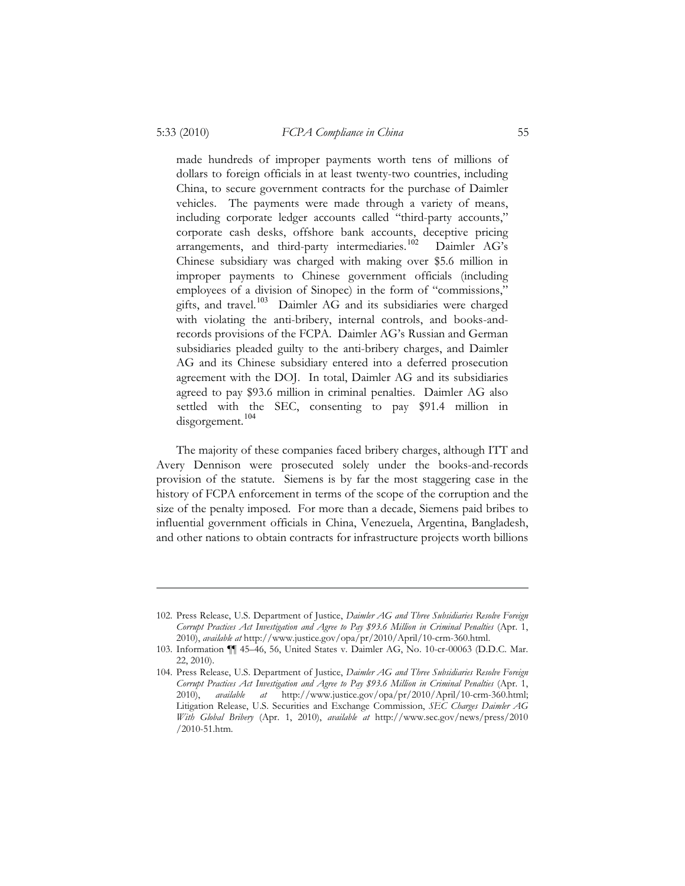made hundreds of improper payments worth tens of millions of dollars to foreign officials in at least twenty-two countries, including China, to secure government contracts for the purchase of Daimler vehicles. The payments were made through a variety of means, including corporate ledger accounts called "third-party accounts," corporate cash desks, offshore bank accounts, deceptive pricing arrangements, and third-party intermediaries.<sup>102</sup> Daimler AG's Chinese subsidiary was charged with making over \$5.6 million in improper payments to Chinese government officials (including employees of a division of Sinopec) in the form of "commissions," gifts, and travel.<sup>103</sup> Daimler AG and its subsidiaries were charged with violating the anti-bribery, internal controls, and books-andrecords provisions of the FCPA. Daimler AG's Russian and German subsidiaries pleaded guilty to the anti-bribery charges, and Daimler AG and its Chinese subsidiary entered into a deferred prosecution agreement with the DOJ. In total, Daimler AG and its subsidiaries agreed to pay \$93.6 million in criminal penalties. Daimler AG also settled with the SEC, consenting to pay \$91.4 million in disgorgement.<sup>104</sup>

The majority of these companies faced bribery charges, although ITT and Avery Dennison were prosecuted solely under the books-and-records provision of the statute. Siemens is by far the most staggering case in the history of FCPA enforcement in terms of the scope of the corruption and the size of the penalty imposed. For more than a decade, Siemens paid bribes to influential government officials in China, Venezuela, Argentina, Bangladesh, and other nations to obtain contracts for infrastructure projects worth billions

<sup>102.</sup> Press Release, U.S. Department of Justice, *Daimler AG and Three Subsidiaries Resolve Foreign Corrupt Practices Act Investigation and Agree to Pay \$93.6 Million in Criminal Penalties* (Apr. 1, 2010), *available at* http://www.justice.gov/opa/pr/2010/April/10-crm-360.html.

<sup>103.</sup> Information ¶¶ 45–46, 56, United States v. Daimler AG, No. 10-cr-00063 (D.D.C. Mar. 22, 2010).

<sup>104.</sup> Press Release, U.S. Department of Justice, *Daimler AG and Three Subsidiaries Resolve Foreign Corrupt Practices Act Investigation and Agree to Pay \$93.6 Million in Criminal Penalties* (Apr. 1, 2010), *available at* http://www.justice.gov/opa/pr/2010/April/10-crm-360.html; Litigation Release, U.S. Securities and Exchange Commission, *SEC Charges Daimler AG With Global Bribery* (Apr. 1, 2010), *available at* http://www.sec.gov/news/press/2010 /2010-51.htm.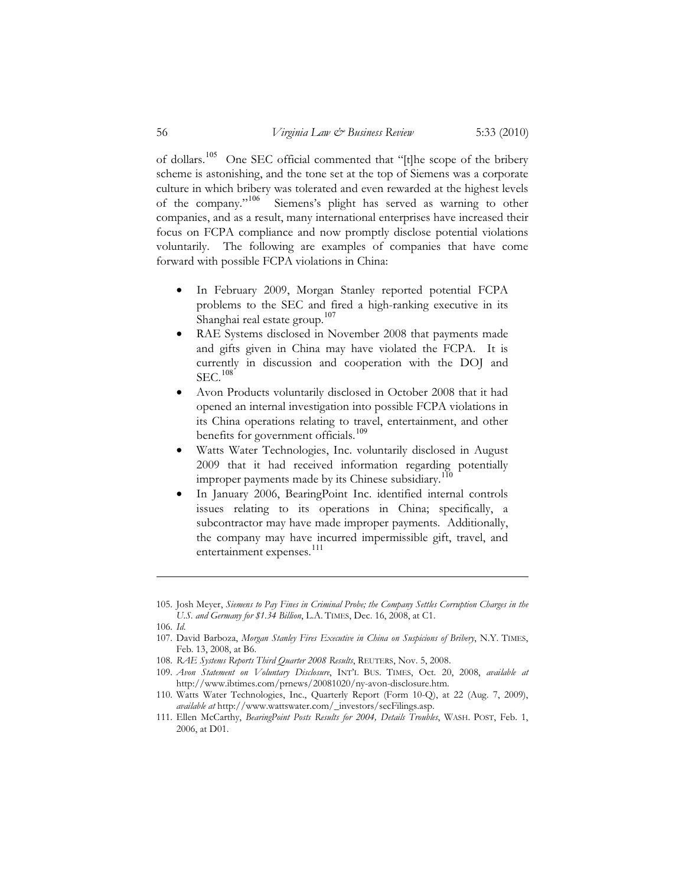of dollars.<sup>105</sup> One SEC official commented that "[t]he scope of the bribery scheme is astonishing, and the tone set at the top of Siemens was a corporate culture in which bribery was tolerated and even rewarded at the highest levels of the company."<sup>106</sup> Siemens's plight has served as warning to other companies, and as a result, many international enterprises have increased their focus on FCPA compliance and now promptly disclose potential violations voluntarily. The following are examples of companies that have come forward with possible FCPA violations in China:

- $\bullet$  In February 2009, Morgan Stanley reported potential FCPA problems to the SEC and fired a high-ranking executive in its Shanghai real estate group.<sup>107</sup>
- $\bullet$  RAE Systems disclosed in November 2008 that payments made and gifts given in China may have violated the FCPA. It is currently in discussion and cooperation with the DOJ and  $SEC.$ <sup>108</sup>
- - Avon Products voluntarily disclosed in October 2008 that it had opened an internal investigation into possible FCPA violations in its China operations relating to travel, entertainment, and other benefits for government officials.<sup>109</sup>
- - Watts Water Technologies, Inc. voluntarily disclosed in August 2009 that it had received information regarding potentially improper payments made by its Chinese subsidiary.<sup>110</sup>
- - In January 2006, BearingPoint Inc. identified internal controls issues relating to its operations in China; specifically, a subcontractor may have made improper payments. Additionally, the company may have incurred impermissible gift, travel, and entertainment expenses.<sup>111</sup>

<sup>105.</sup> Josh Meyer, *Siemens to Pay Fines in Criminal Probe; the Company Settles Corruption Charges in the U.S. and Germany for \$1.34 Billion*, L.A. TIMES, Dec. 16, 2008, at C1.

<sup>106.</sup> *Id*.

<sup>107.</sup> David Barboza, *Morgan Stanley Fires Executive in China on Suspicions of Bribery*, N.Y. TIMES, Feb. 13, 2008, at B6.

<sup>108.</sup> *RAE Systems Reports Third Quarter 2008 Results*, REUTERS, Nov. 5, 2008.

<sup>109.</sup> *Avon Statement on Voluntary Disclosure*, INT'L BUS. TIMES, Oct. 20, 2008, *available at* http://www.ibtimes.com/prnews/20081020/ny-avon-disclosure.htm.

<sup>110.</sup> Watts Water Technologies, Inc., Quarterly Report (Form 10-Q), at 22 (Aug. 7, 2009), *available at* http://www.wattswater.com/\_investors/secFilings.asp.

<sup>111.</sup> Ellen McCarthy, *BearingPoint Posts Results for 2004, Details Troubles*, WASH. POST, Feb. 1, 2006, at D01.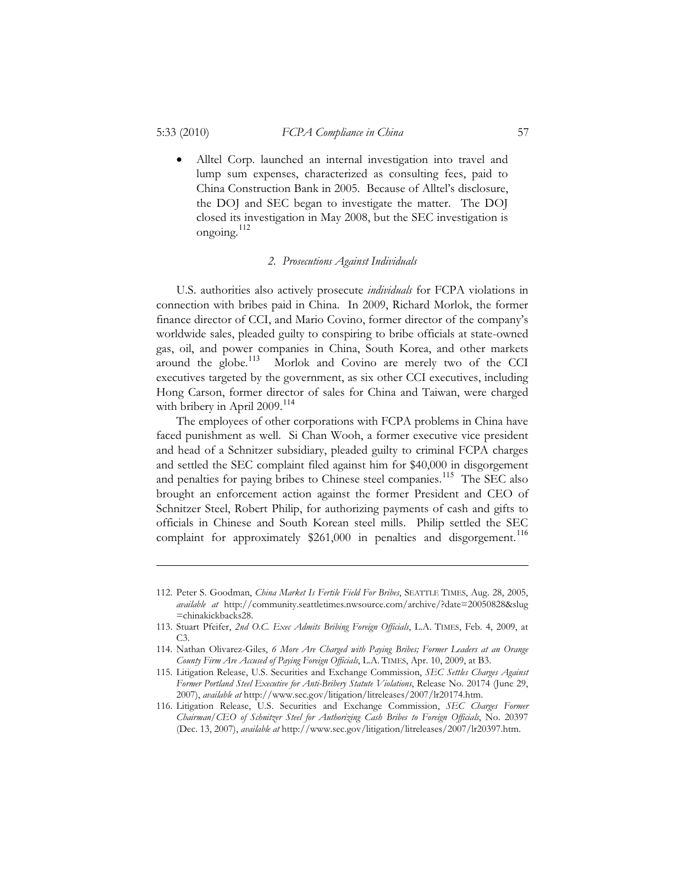$\bullet$  Alltel Corp. launched an internal investigation into travel and lump sum expenses, characterized as consulting fees, paid to China Construction Bank in 2005. Because of Alltel's disclosure, the DOJ and SEC began to investigate the matter. The DOJ closed its investigation in May 2008, but the SEC investigation is ongoing.<sup>112</sup>

#### *2. Prosecutions Against Individuals*

U.S. authorities also actively prosecute *individuals* for FCPA violations in connection with bribes paid in China. In 2009, Richard Morlok, the former finance director of CCI, and Mario Covino, former director of the company's worldwide sales, pleaded guilty to conspiring to bribe officials at state-owned gas, oil, and power companies in China, South Korea, and other markets around the globe.<sup>113</sup> Morlok and Covino are merely two of the CCI Morlok and Covino are merely two of the CCI executives targeted by the government, as six other CCI executives, including Hong Carson, former director of sales for China and Taiwan, were charged with bribery in April 2009.<sup>114</sup>

The employees of other corporations with FCPA problems in China have faced punishment as well. Si Chan Wooh, a former executive vice president and head of a Schnitzer subsidiary, pleaded guilty to criminal FCPA charges and settled the SEC complaint filed against him for \$40,000 in disgorgement and penalties for paying bribes to Chinese steel companies.<sup>115</sup> The SEC also brought an enforcement action against the former President and CEO of Schnitzer Steel, Robert Philip, for authorizing payments of cash and gifts to officials in Chinese and South Korean steel mills. Philip settled the SEC complaint for approximately \$261,000 in penalties and disgorgement.<sup>116</sup>

<sup>112.</sup> Peter S. Goodman, *China Market Is Fertile Field For Bribes*, SEATTLE TIMES, Aug. 28, 2005, *available at* http://community.seattletimes.nwsource.com/archive/?date=20050828&slug =chinakickbacks28.

<sup>113.</sup> Stuart Pfeifer, *2nd O.C. Exec Admits Bribing Foreign Officials*, L.A. TIMES, Feb. 4, 2009, at C3.

<sup>114.</sup> Nathan Olivarez-Giles, *6 More Are Charged with Paying Bribes; Former Leaders at an Orange County Firm Are Accused of Paying Foreign Officials*, L.A. TIMES, Apr. 10, 2009, at B3.

<sup>115.</sup> Litigation Release, U.S. Securities and Exchange Commission, *SEC Settles Charges Against Former Portland Steel Executive for Anti-Bribery Statute Violations*, Release No. 20174 (June 29, 2007), *available at* http://www.sec.gov/litigation/litreleases/2007/lr20174.htm.

<sup>116.</sup> Litigation Release, U.S. Securities and Exchange Commission, *SEC Charges Former Chairman/CEO of Schnitzer Steel for Authorizing Cash Bribes to Foreign Officials*, No. 20397 (Dec. 13, 2007), *available at* http://www.sec.gov/litigation/litreleases/2007/lr20397.htm.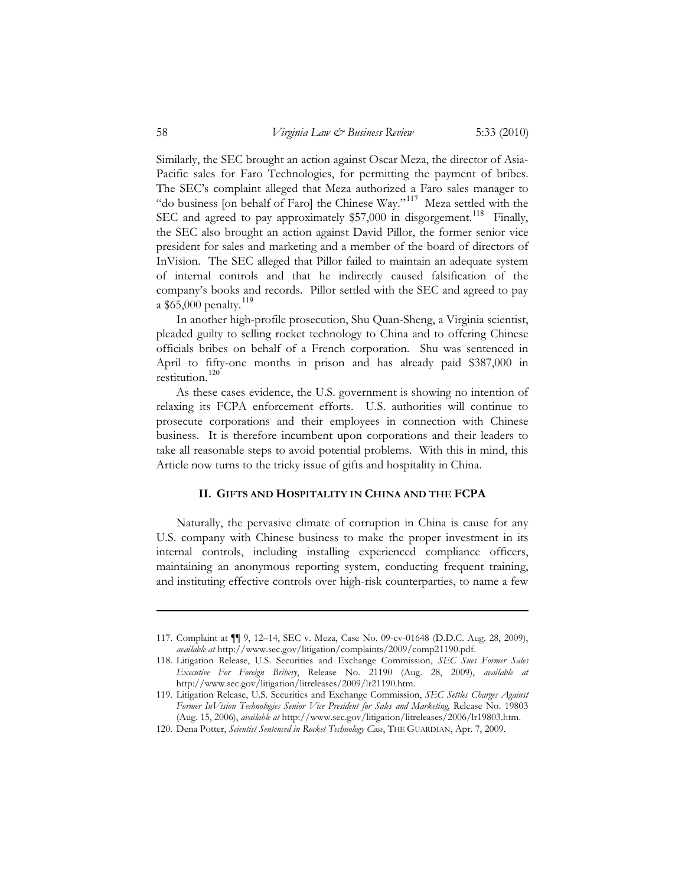Similarly, the SEC brought an action against Oscar Meza, the director of Asia-Pacific sales for Faro Technologies, for permitting the payment of bribes. The SEC's complaint alleged that Meza authorized a Faro sales manager to "do business [on behalf of Faro] the Chinese Way."<sup>117</sup> Meza settled with the SEC and agreed to pay approximately \$57,000 in disgorgement.<sup>118</sup> Finally, the SEC also brought an action against David Pillor, the former senior vice president for sales and marketing and a member of the board of directors of InVision. The SEC alleged that Pillor failed to maintain an adequate system of internal controls and that he indirectly caused falsification of the company's books and records. Pillor settled with the SEC and agreed to pay a \$65,000 penalty.<sup>119</sup>

In another high-profile prosecution, Shu Quan-Sheng, a Virginia scientist, pleaded guilty to selling rocket technology to China and to offering Chinese officials bribes on behalf of a French corporation. Shu was sentenced in April to fifty-one months in prison and has already paid \$387,000 in restitution. $120^7$ 

As these cases evidence, the U.S. government is showing no intention of relaxing its FCPA enforcement efforts. U.S. authorities will continue to prosecute corporations and their employees in connection with Chinese business. It is therefore incumbent upon corporations and their leaders to take all reasonable steps to avoid potential problems. With this in mind, this Article now turns to the tricky issue of gifts and hospitality in China.

# **II. GIFTS AND HOSPITALITY IN CHINA AND THE FCPA**

Naturally, the pervasive climate of corruption in China is cause for any U.S. company with Chinese business to make the proper investment in its internal controls, including installing experienced compliance officers, maintaining an anonymous reporting system, conducting frequent training, and instituting effective controls over high-risk counterparties, to name a few

<sup>117.</sup> Complaint at ¶¶ 9, 12–14, SEC v. Meza, Case No. 09-cv-01648 (D.D.C. Aug. 28, 2009), *available at* http://www.sec.gov/litigation/complaints/2009/comp21190.pdf.

<sup>118.</sup> Litigation Release, U.S. Securities and Exchange Commission, *SEC Sues Former Sales Executive For Foreign Bribery*, Release No. 21190 (Aug. 28, 2009), *available at*  http://www.sec.gov/litigation/litreleases/2009/lr21190.htm.

<sup>119.</sup> Litigation Release, U.S. Securities and Exchange Commission, *SEC Settles Charges Against Former InVision Technologies Senior Vice President for Sales and Marketing*, Release No. 19803 (Aug. 15, 2006), *available at* http://www.sec.gov/litigation/litreleases/2006/lr19803.htm.

<sup>120.</sup> Dena Potter, *Scientist Sentenced in Rocket Technology Case*, THE GUARDIAN, Apr. 7, 2009.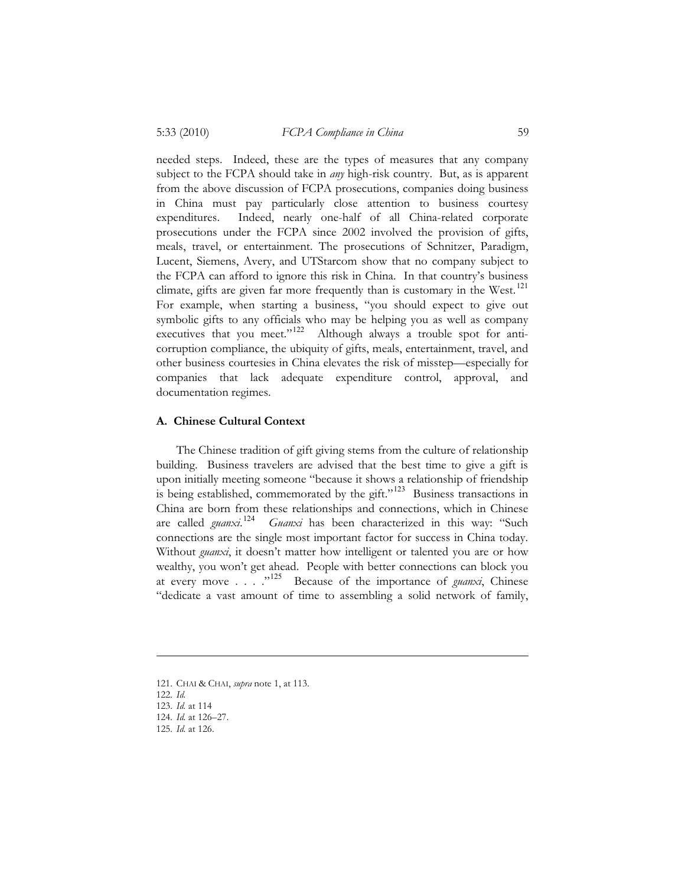needed steps. Indeed, these are the types of measures that any company subject to the FCPA should take in *any* high-risk country. But, as is apparent from the above discussion of FCPA prosecutions, companies doing business in China must pay particularly close attention to business courtesy expenditures. Indeed, nearly one-half of all China-related corporate prosecutions under the FCPA since 2002 involved the provision of gifts, meals, travel, or entertainment. The prosecutions of Schnitzer, Paradigm, Lucent, Siemens, Avery, and UTStarcom show that no company subject to the FCPA can afford to ignore this risk in China. In that country's business climate, gifts are given far more frequently than is customary in the West.<sup>121</sup> For example, when starting a business, "you should expect to give out symbolic gifts to any officials who may be helping you as well as company executives that you meet."<sup>122</sup> Although always a trouble spot for anticorruption compliance, the ubiquity of gifts, meals, entertainment, travel, and other business courtesies in China elevates the risk of misstep—especially for companies that lack adequate expenditure control, approval, and documentation regimes.

#### **A. Chinese Cultural Context**

The Chinese tradition of gift giving stems from the culture of relationship building. Business travelers are advised that the best time to give a gift is upon initially meeting someone "because it shows a relationship of friendship is being established, commemorated by the gift."<sup>123</sup> Business transactions in China are born from these relationships and connections, which in Chinese are called *guanxi*. <sup>124</sup> *Guanxi* has been characterized in this way: "Such connections are the single most important factor for success in China today. Without *guanxi*, it doesn't matter how intelligent or talented you are or how wealthy, you won't get ahead. People with better connections can block you at every move . . . .<sup>"125</sup> Because of the importance of *guanxi*, Chinese "dedicate a vast amount of time to assembling a solid network of family,

<sup>121.</sup> CHAI & CHAI, *supra* note 1, at 113.

<sup>122.</sup> *Id.*

<sup>123.</sup> *Id.* at 114

<sup>124.</sup> *Id.* at 126–27.

<sup>125.</sup> *Id.* at 126.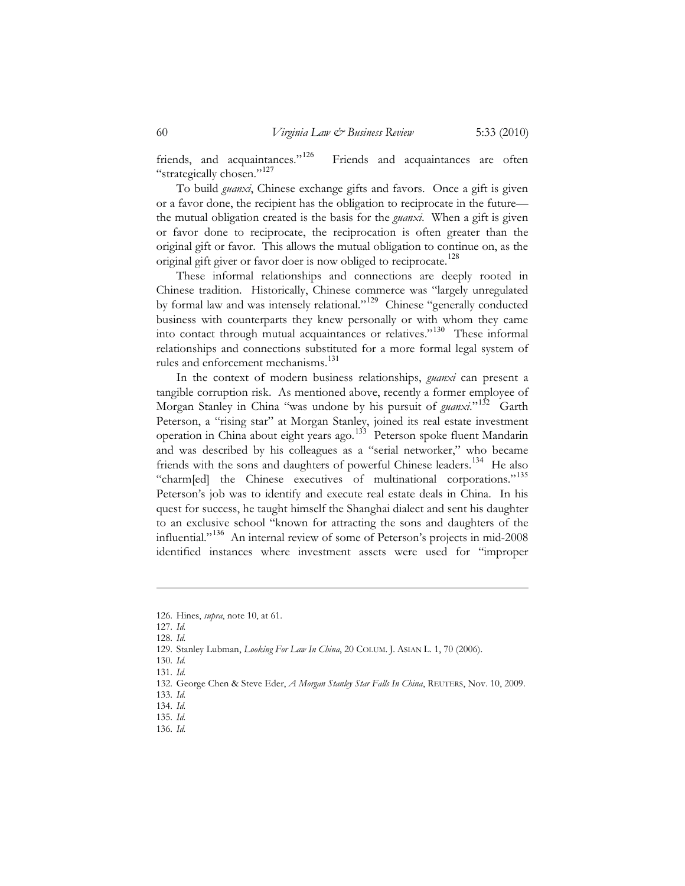friends, and acquaintances."<sup>126</sup> Friends and acquaintances are often "strategically chosen."<sup>127</sup>

To build *guanxi*, Chinese exchange gifts and favors. Once a gift is given or a favor done, the recipient has the obligation to reciprocate in the future the mutual obligation created is the basis for the *guanxi*. When a gift is given or favor done to reciprocate, the reciprocation is often greater than the original gift or favor. This allows the mutual obligation to continue on, as the original gift giver or favor doer is now obliged to reciprocate.<sup>128</sup>

These informal relationships and connections are deeply rooted in Chinese tradition. Historically, Chinese commerce was "largely unregulated by formal law and was intensely relational."<sup>129</sup> Chinese "generally conducted business with counterparts they knew personally or with whom they came into contact through mutual acquaintances or relatives."<sup>130</sup> These informal relationships and connections substituted for a more formal legal system of rules and enforcement mechanisms.<sup>131</sup>

In the context of modern business relationships, *guanxi* can present a tangible corruption risk. As mentioned above, recently a former employee of Morgan Stanley in China "was undone by his pursuit of *guanxi*."<sup>132</sup> Garth Peterson, a "rising star" at Morgan Stanley, joined its real estate investment operation in China about eight years ago.<sup>133</sup> Peterson spoke fluent Mandarin and was described by his colleagues as a "serial networker," who became friends with the sons and daughters of powerful Chinese leaders.<sup>134</sup> He also "charm[ed] the Chinese executives of multinational corporations."<sup>135</sup> Peterson's job was to identify and execute real estate deals in China. In his quest for success, he taught himself the Shanghai dialect and sent his daughter to an exclusive school "known for attracting the sons and daughters of the influential."<sup>136</sup> An internal review of some of Peterson's projects in mid-2008 identified instances where investment assets were used for "improper

<sup>126.</sup> Hines, *supra*, note 10, at 61.

<sup>127.</sup> *Id.*

<sup>128.</sup> *Id.*

<sup>129.</sup> Stanley Lubman, *Looking For Law In China*, 20 COLUM. J. ASIAN L. 1, 70 (2006).

<sup>130.</sup> *Id.*

<sup>131.</sup> *Id.*

<sup>132.</sup> George Chen & Steve Eder, *A Morgan Stanley Star Falls In China*, REUTERS, Nov. 10, 2009.

<sup>133.</sup> *Id.* 

<sup>134.</sup> *Id.* 135. *Id.*

<sup>136.</sup> *Id.*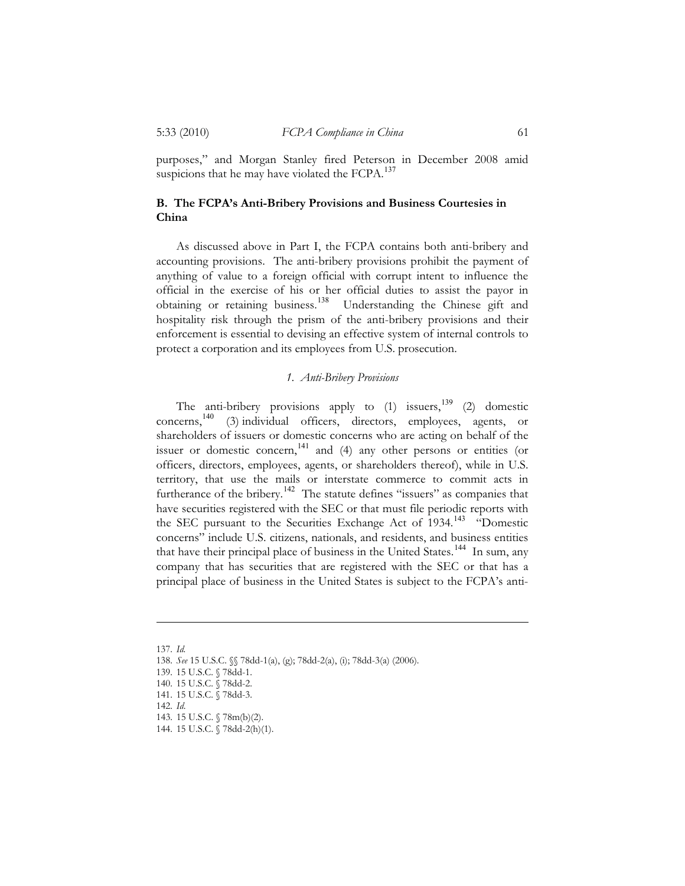purposes," and Morgan Stanley fired Peterson in December 2008 amid suspicions that he may have violated the FCPA.<sup>137</sup>

# **B. The FCPA's Anti-Bribery Provisions and Business Courtesies in China**

As discussed above in Part I, the FCPA contains both anti-bribery and accounting provisions. The anti-bribery provisions prohibit the payment of anything of value to a foreign official with corrupt intent to influence the official in the exercise of his or her official duties to assist the payor in obtaining or retaining business.<sup>138</sup> Understanding the Chinese gift and hospitality risk through the prism of the anti-bribery provisions and their enforcement is essential to devising an effective system of internal controls to protect a corporation and its employees from U.S. prosecution.

# *1. Anti-Bribery Provisions*

The anti-bribery provisions apply to  $(1)$  issuers,<sup>139</sup> (2) domestic concerns, <sup>140</sup> (3) individual officers, directors, employees, agents, or shareholders of issuers or domestic concerns who are acting on behalf of the issuer or domestic concern,<sup>141</sup> and (4) any other persons or entities (or officers, directors, employees, agents, or shareholders thereof), while in U.S. territory, that use the mails or interstate commerce to commit acts in furtherance of the bribery.<sup>142</sup> The statute defines "issuers" as companies that have securities registered with the SEC or that must file periodic reports with the SEC pursuant to the Securities Exchange Act of 1934.<sup>143</sup> "Domestic concerns" include U.S. citizens, nationals, and residents, and business entities that have their principal place of business in the United States.<sup>144</sup> In sum, any company that has securities that are registered with the SEC or that has a principal place of business in the United States is subject to the FCPA's anti-

<sup>137.</sup> *Id.*

<sup>138.</sup> *See* 15 U.S.C. §§ 78dd-1(a), (g); 78dd-2(a), (i); 78dd-3(a) (2006).

<sup>139. 15</sup> U.S.C. § 78dd-1.

<sup>140. 15</sup> U.S.C. § 78dd-2.

<sup>141. 15</sup> U.S.C. § 78dd-3.

<sup>142.</sup> *Id*.

<sup>143. 15</sup> U.S.C. § 78m(b)(2).

<sup>144. 15</sup> U.S.C. § 78dd-2(h)(1).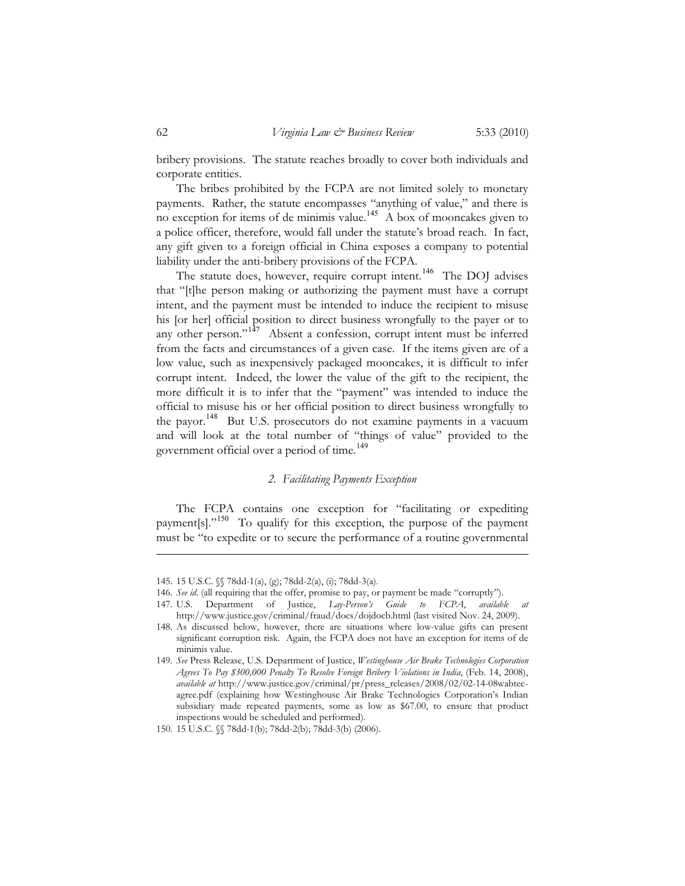bribery provisions. The statute reaches broadly to cover both individuals and corporate entities.

The bribes prohibited by the FCPA are not limited solely to monetary payments. Rather, the statute encompasses "anything of value," and there is no exception for items of de minimis value.<sup>145</sup>  $\overrightarrow{A}$  box of mooncakes given to a police officer, therefore, would fall under the statute's broad reach. In fact, any gift given to a foreign official in China exposes a company to potential liability under the anti-bribery provisions of the FCPA.

The statute does, however, require corrupt intent.<sup>146</sup> The DOJ advises that "[t]he person making or authorizing the payment must have a corrupt intent, and the payment must be intended to induce the recipient to misuse his [or her] official position to direct business wrongfully to the payer or to any other person."<sup>147</sup> Absent a confession, corrupt intent must be inferred from the facts and circumstances of a given case. If the items given are of a low value, such as inexpensively packaged mooncakes, it is difficult to infer corrupt intent. Indeed, the lower the value of the gift to the recipient, the more difficult it is to infer that the "payment" was intended to induce the official to misuse his or her official position to direct business wrongfully to the payor.<sup>148</sup> But U.S. prosecutors do not examine payments in a vacuum and will look at the total number of "things of value" provided to the government official over a period of time.<sup>149</sup>

# *2. Facilitating Payments Exception*

The FCPA contains one exception for "facilitating or expediting payment[s]."<sup>150</sup> To qualify for this exception, the purpose of the payment must be "to expedite or to secure the performance of a routine governmental

<sup>145. 15</sup> U.S.C. §§ 78dd-1(a), (g); 78dd-2(a), (i); 78dd-3(a).

<sup>146.</sup> *See id*. (all requiring that the offer, promise to pay, or payment be made "corruptly").

<sup>147.</sup> U.S. Department of Justice, *Lay-Person's Guide to FCPA*, *available at* http://www.justice.gov/criminal/fraud/docs/dojdocb.html (last visited Nov. 24, 2009).

<sup>148.</sup> As discussed below, however, there are situations where low-value gifts can present significant corruption risk. Again, the FCPA does not have an exception for items of de minimis value.

<sup>149.</sup> *See* Press Release, U.S. Department of Justice, *Westinghouse Air Brake Technologies Corporation Agrees To Pay \$300,000 Penalty To Resolve Foreign Bribery Violations in India*, (Feb. 14, 2008), *available at* http://www.justice.gov/criminal/pr/press\_releases/2008/02/02-14-08wabtecagree.pdf (explaining how Westinghouse Air Brake Technologies Corporation's Indian subsidiary made repeated payments, some as low as \$67.00, to ensure that product inspections would be scheduled and performed).

<sup>150. 15</sup> U.S.C. §§ 78dd-1(b); 78dd-2(b); 78dd-3(b) (2006).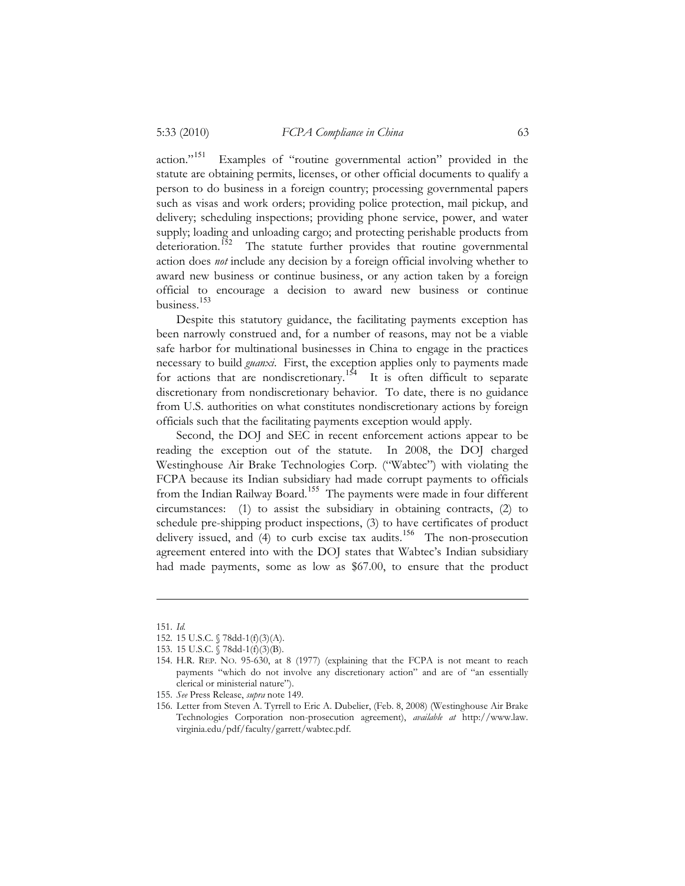action."<sup>151</sup> Examples of "routine governmental action" provided in the statute are obtaining permits, licenses, or other official documents to qualify a person to do business in a foreign country; processing governmental papers such as visas and work orders; providing police protection, mail pickup, and delivery; scheduling inspections; providing phone service, power, and water supply; loading and unloading cargo; and protecting perishable products from deterioration.<sup>152</sup> The statute further provides that routine governmental action does *not* include any decision by a foreign official involving whether to award new business or continue business, or any action taken by a foreign official to encourage a decision to award new business or continue business.<sup>153</sup>

Despite this statutory guidance, the facilitating payments exception has been narrowly construed and, for a number of reasons, may not be a viable safe harbor for multinational businesses in China to engage in the practices necessary to build *guanxi*. First, the exception applies only to payments made for actions that are nondiscretionary.<sup>154</sup> It is often difficult to separate discretionary from nondiscretionary behavior. To date, there is no guidance from U.S. authorities on what constitutes nondiscretionary actions by foreign officials such that the facilitating payments exception would apply.

Second, the DOJ and SEC in recent enforcement actions appear to be reading the exception out of the statute. In 2008, the DOJ charged Westinghouse Air Brake Technologies Corp. ("Wabtec") with violating the FCPA because its Indian subsidiary had made corrupt payments to officials from the Indian Railway Board.<sup>155</sup> The payments were made in four different circumstances: (1) to assist the subsidiary in obtaining contracts, (2) to schedule pre-shipping product inspections, (3) to have certificates of product delivery issued, and (4) to curb excise tax audits.<sup>156</sup> The non-prosecution agreement entered into with the DOJ states that Wabtec's Indian subsidiary had made payments, some as low as \$67.00, to ensure that the product

<sup>151.</sup> *Id.* 

<sup>152. 15</sup> U.S.C. § 78dd-1(f)(3)(A).

<sup>153. 15</sup> U.S.C. § 78dd-1(f)(3)(B).

<sup>154.</sup> H.R. REP. NO. 95-630, at 8 (1977) (explaining that the FCPA is not meant to reach payments "which do not involve any discretionary action" and are of "an essentially clerical or ministerial nature").

<sup>155.</sup> *See* Press Release, *supra* note 149.

<sup>156.</sup> Letter from Steven A. Tyrrell to Eric A. Dubelier, (Feb. 8, 2008) (Westinghouse Air Brake Technologies Corporation non-prosecution agreement), *available at* http://www.law. virginia.edu/pdf/faculty/garrett/wabtec.pdf.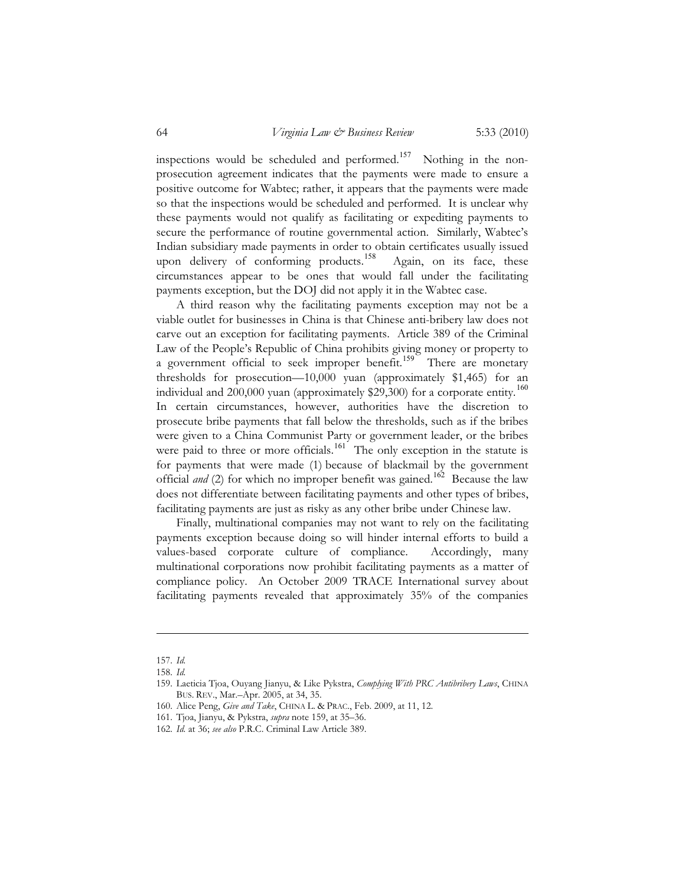inspections would be scheduled and performed.<sup>157</sup> Nothing in the nonprosecution agreement indicates that the payments were made to ensure a positive outcome for Wabtec; rather, it appears that the payments were made so that the inspections would be scheduled and performed. It is unclear why these payments would not qualify as facilitating or expediting payments to secure the performance of routine governmental action. Similarly, Wabtec's Indian subsidiary made payments in order to obtain certificates usually issued upon delivery of conforming products.<sup>158</sup> Again, on its face, these circumstances appear to be ones that would fall under the facilitating payments exception, but the DOJ did not apply it in the Wabtec case.

A third reason why the facilitating payments exception may not be a viable outlet for businesses in China is that Chinese anti-bribery law does not carve out an exception for facilitating payments. Article 389 of the Criminal Law of the People's Republic of China prohibits giving money or property to a government official to seek improper benefit.<sup>159</sup> There are monetary thresholds for prosecution—10,000 yuan (approximately \$1,465) for an individual and 200,000 yuan (approximately \$29,300) for a corporate entity.<sup>160</sup> In certain circumstances, however, authorities have the discretion to prosecute bribe payments that fall below the thresholds, such as if the bribes were given to a China Communist Party or government leader, or the bribes were paid to three or more officials.<sup>161</sup> The only exception in the statute is for payments that were made (1) because of blackmail by the government official *and* (2) for which no improper benefit was gained.<sup>162</sup> Because the law does not differentiate between facilitating payments and other types of bribes, facilitating payments are just as risky as any other bribe under Chinese law.

Finally, multinational companies may not want to rely on the facilitating payments exception because doing so will hinder internal efforts to build a values-based corporate culture of compliance. Accordingly, many multinational corporations now prohibit facilitating payments as a matter of compliance policy. An October 2009 TRACE International survey about facilitating payments revealed that approximately 35% of the companies

<sup>157.</sup> *Id.* 

<sup>158.</sup> *Id.* 

<sup>159.</sup> Laeticia Tjoa, Ouyang Jianyu, & Like Pykstra, *Complying With PRC Antibribery Laws*, CHINA BUS. REV., Mar.–Apr. 2005, at 34, 35.

<sup>160.</sup> Alice Peng, *Give and Take*, CHINA L. & PRAC., Feb. 2009, at 11, 12.

<sup>161.</sup> Tjoa, Jianyu, & Pykstra, *supra* note 159, at 35–36.

<sup>162.</sup> *Id.* at 36; *see also* P.R.C. Criminal Law Article 389.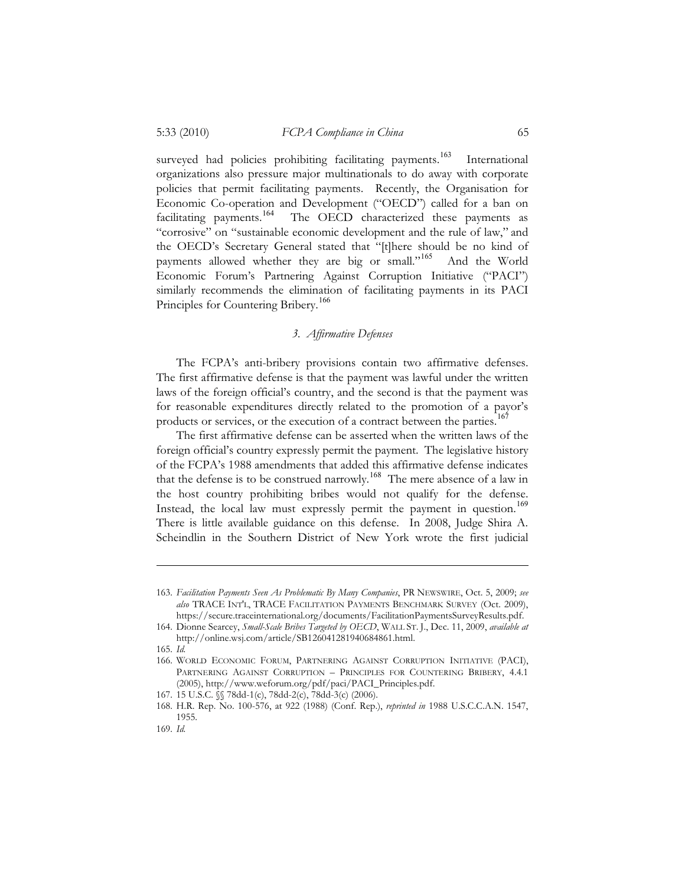surveyed had policies prohibiting facilitating payments.<sup>163</sup> International organizations also pressure major multinationals to do away with corporate policies that permit facilitating payments. Recently, the Organisation for Economic Co-operation and Development ("OECD") called for a ban on facilitating payments.<sup>164</sup> The OECD characterized these payments as The OECD characterized these payments as "corrosive" on "sustainable economic development and the rule of law," and the OECD's Secretary General stated that "[t]here should be no kind of payments allowed whether they are big or small."<sup>165</sup> And the World Economic Forum's Partnering Against Corruption Initiative ("PACI") similarly recommends the elimination of facilitating payments in its PACI Principles for Countering Bribery.<sup>166</sup>

# *3. Affirmative Defenses*

The FCPA's anti-bribery provisions contain two affirmative defenses. The first affirmative defense is that the payment was lawful under the written laws of the foreign official's country, and the second is that the payment was for reasonable expenditures directly related to the promotion of a payor's products or services, or the execution of a contract between the parties.<sup>167</sup>

The first affirmative defense can be asserted when the written laws of the foreign official's country expressly permit the payment. The legislative history of the FCPA's 1988 amendments that added this affirmative defense indicates that the defense is to be construed narrowly.<sup>168</sup> The mere absence of a law in the host country prohibiting bribes would not qualify for the defense. Instead, the local law must expressly permit the payment in question.<sup>169</sup> There is little available guidance on this defense. In 2008, Judge Shira A. Scheindlin in the Southern District of New York wrote the first judicial

<sup>163.</sup> *Facilitation Payments Seen As Problematic By Many Companies*, PR NEWSWIRE, Oct. 5, 2009; *see also* TRACE INT'L, TRACE FACILITATION PAYMENTS BENCHMARK SURVEY (Oct. 2009), https://secure.traceinternational.org/documents/FacilitationPaymentsSurveyResults.pdf.

<sup>164.</sup> Dionne Searcey, *Small-Scale Bribes Targeted by OECD*, WALL ST. J., Dec. 11, 2009, *available at* http://online.wsj.com/article/SB126041281940684861.html.

<sup>165.</sup> *Id.* 

<sup>166.</sup> WORLD ECONOMIC FORUM, PARTNERING AGAINST CORRUPTION INITIATIVE (PACI), PARTNERING AGAINST CORRUPTION – PRINCIPLES FOR COUNTERING BRIBERY, 4.4.1 (2005), http://www.weforum.org/pdf/paci/PACI\_Principles.pdf.

<sup>167. 15</sup> U.S.C. §§ 78dd-1(c), 78dd-2(c), 78dd-3(c) (2006).

<sup>168.</sup> H.R. Rep. No. 100-576, at 922 (1988) (Conf. Rep.), *reprinted in* 1988 U.S.C.C.A.N. 1547, 1955.

<sup>169.</sup> *Id.*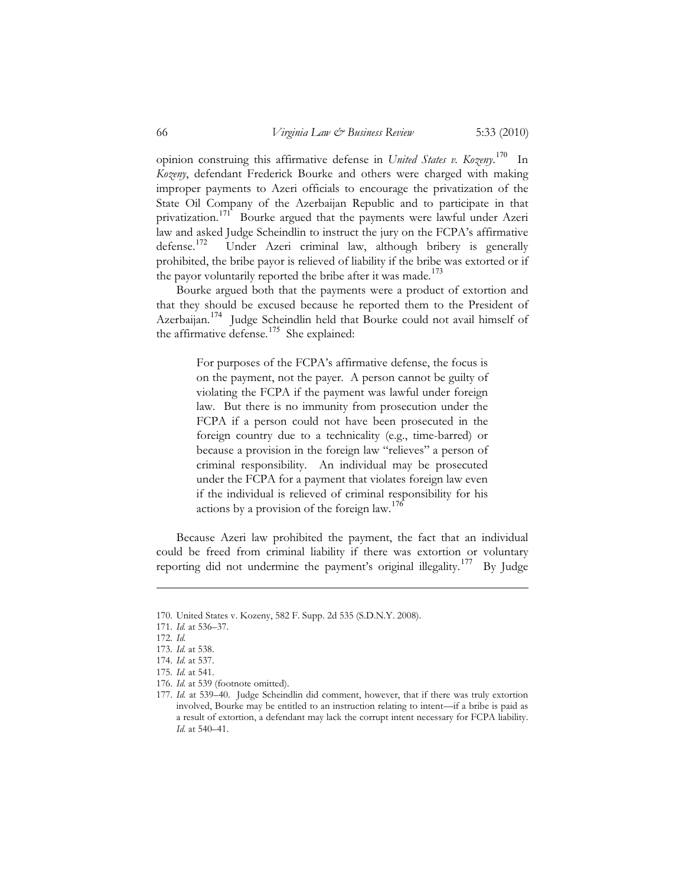opinion construing this affirmative defense in *United States v. Kozeny*. <sup>170</sup> In *Kozeny*, defendant Frederick Bourke and others were charged with making improper payments to Azeri officials to encourage the privatization of the State Oil Company of the Azerbaijan Republic and to participate in that privatization.<sup>171</sup> Bourke argued that the payments were lawful under Azeri law and asked Judge Scheindlin to instruct the jury on the FCPA's affirmative<br>defense.<sup>172</sup> Under Azeri criminal law, although bribery is generally Under Azeri criminal law, although bribery is generally prohibited, the bribe payor is relieved of liability if the bribe was extorted or if the payor voluntarily reported the bribe after it was made.<sup>173</sup>

Bourke argued both that the payments were a product of extortion and that they should be excused because he reported them to the President of Azerbaijan.<sup>174</sup> Judge Scheindlin held that Bourke could not avail himself of the affirmative defense.<sup>175</sup> She explained:

> For purposes of the FCPA's affirmative defense, the focus is on the payment, not the payer. A person cannot be guilty of violating the FCPA if the payment was lawful under foreign law. But there is no immunity from prosecution under the FCPA if a person could not have been prosecuted in the foreign country due to a technicality (e.g., time-barred) or because a provision in the foreign law "relieves" a person of criminal responsibility. An individual may be prosecuted under the FCPA for a payment that violates foreign law even if the individual is relieved of criminal responsibility for his actions by a provision of the foreign law.<sup>176</sup>

Because Azeri law prohibited the payment, the fact that an individual could be freed from criminal liability if there was extortion or voluntary reporting did not undermine the payment's original illegality.<sup>177</sup> By Judge

<sup>170.</sup> United States v. Kozeny, 582 F. Supp. 2d 535 (S.D.N.Y. 2008).

<sup>171.</sup> *Id.* at 536–37.

<sup>172.</sup> *Id.*

<sup>173.</sup> *Id.* at 538.

<sup>174.</sup> *Id.* at 537.

<sup>175.</sup> *Id.* at 541.

<sup>176.</sup> *Id.* at 539 (footnote omitted).

<sup>177.</sup> *Id.* at 539–40. Judge Scheindlin did comment, however, that if there was truly extortion involved, Bourke may be entitled to an instruction relating to intent—if a bribe is paid as a result of extortion, a defendant may lack the corrupt intent necessary for FCPA liability. *Id.* at 540–41.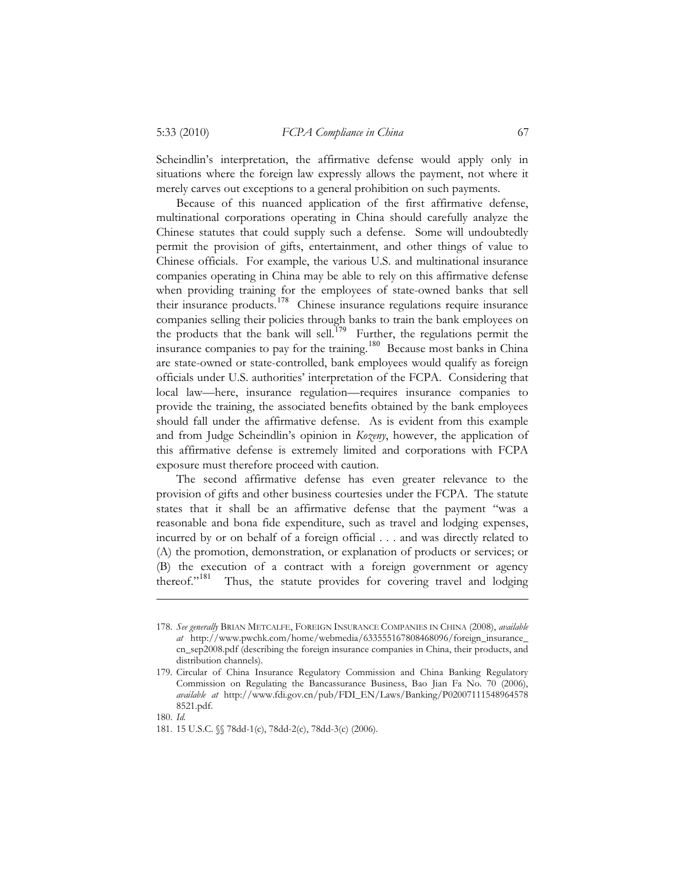Scheindlin's interpretation, the affirmative defense would apply only in situations where the foreign law expressly allows the payment, not where it merely carves out exceptions to a general prohibition on such payments.

Because of this nuanced application of the first affirmative defense, multinational corporations operating in China should carefully analyze the Chinese statutes that could supply such a defense. Some will undoubtedly permit the provision of gifts, entertainment, and other things of value to Chinese officials. For example, the various U.S. and multinational insurance companies operating in China may be able to rely on this affirmative defense when providing training for the employees of state-owned banks that sell their insurance products.<sup>178</sup> Chinese insurance regulations require insurance companies selling their policies through banks to train the bank employees on the products that the bank will sell.<sup>179</sup> Further, the regulations permit the insurance companies to pay for the training.<sup>180</sup> Because most banks in China are state-owned or state-controlled, bank employees would qualify as foreign officials under U.S. authorities' interpretation of the FCPA. Considering that local law—here, insurance regulation—requires insurance companies to provide the training, the associated benefits obtained by the bank employees should fall under the affirmative defense. As is evident from this example and from Judge Scheindlin's opinion in *Kozeny*, however, the application of this affirmative defense is extremely limited and corporations with FCPA exposure must therefore proceed with caution.

The second affirmative defense has even greater relevance to the provision of gifts and other business courtesies under the FCPA. The statute states that it shall be an affirmative defense that the payment "was a reasonable and bona fide expenditure, such as travel and lodging expenses, incurred by or on behalf of a foreign official . . . and was directly related to (A) the promotion, demonstration, or explanation of products or services; or (B) the execution of a contract with a foreign government or agency thereof."<sup>181</sup> Thus, the statute provides for covering travel and lodging

<sup>178.</sup> *See generally* BRIAN METCALFE, FOREIGN INSURANCE COMPANIES IN CHINA (2008), *available at* http://www.pwchk.com/home/webmedia/633555167808468096/foreign\_insurance\_ cn\_sep2008.pdf (describing the foreign insurance companies in China, their products, and distribution channels).

<sup>179.</sup> Circular of China Insurance Regulatory Commission and China Banking Regulatory Commission on Regulating the Bancassurance Business, Bao Jian Fa No. 70 (2006), *available at* http://www.fdi.gov.cn/pub/FDI\_EN/Laws/Banking/P02007111548964578 8521.pdf.

<sup>180.</sup> *Id.*

<sup>181. 15</sup> U.S.C. §§ 78dd-1(c), 78dd-2(c), 78dd-3(c) (2006).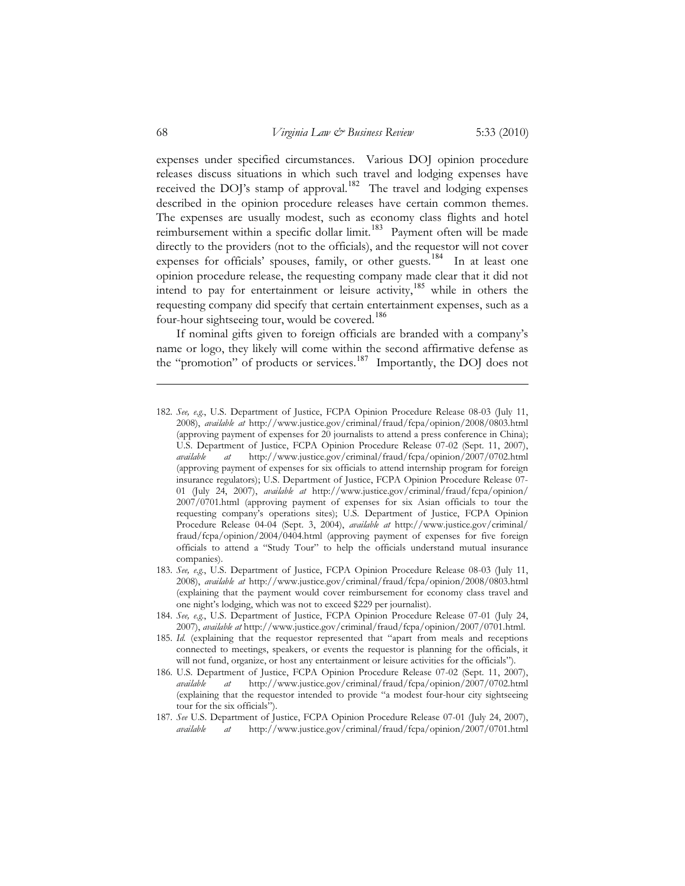expenses under specified circumstances. Various DOJ opinion procedure releases discuss situations in which such travel and lodging expenses have received the DOJ's stamp of approval.<sup>182</sup> The travel and lodging expenses described in the opinion procedure releases have certain common themes. The expenses are usually modest, such as economy class flights and hotel reimbursement within a specific dollar limit.<sup>183</sup> Payment often will be made directly to the providers (not to the officials), and the requestor will not cover expenses for officials' spouses, family, or other guests.<sup>184</sup> In at least one opinion procedure release, the requesting company made clear that it did not intend to pay for entertainment or leisure activity,<sup>185</sup> while in others the requesting company did specify that certain entertainment expenses, such as a four-hour sightseeing tour, would be covered.<sup>186</sup>

If nominal gifts given to foreign officials are branded with a company's name or logo, they likely will come within the second affirmative defense as the "promotion" of products or services.<sup>187</sup> Importantly, the DOJ does not

- 184. *See, e.g.*, U.S. Department of Justice, FCPA Opinion Procedure Release 07-01 (July 24, 2007), *available at* http://www.justice.gov/criminal/fraud/fcpa/opinion/2007/0701.html.
- 185. *Id.* (explaining that the requestor represented that "apart from meals and receptions connected to meetings, speakers, or events the requestor is planning for the officials, it will not fund, organize, or host any entertainment or leisure activities for the officials").
- 186. U.S. Department of Justice, FCPA Opinion Procedure Release 07-02 (Sept. 11, 2007), *available at* http://www.justice.gov/criminal/fraud/fcpa/opinion/2007/0702.html (explaining that the requestor intended to provide "a modest four-hour city sightseeing tour for the six officials").
- 187. *See* U.S. Department of Justice, FCPA Opinion Procedure Release 07-01 (July 24, 2007), *available at* http://www.justice.gov/criminal/fraud/fcpa/opinion/2007/0701.html

<sup>182.</sup> *See, e.g.*, U.S. Department of Justice, FCPA Opinion Procedure Release 08-03 (July 11, 2008), *available at* http://www.justice.gov/criminal/fraud/fcpa/opinion/2008/0803.html (approving payment of expenses for 20 journalists to attend a press conference in China); U.S. Department of Justice, FCPA Opinion Procedure Release 07-02 (Sept. 11, 2007), *available at* http://www.justice.gov/criminal/fraud/fcpa/opinion/2007/0702.html (approving payment of expenses for six officials to attend internship program for foreign insurance regulators); U.S. Department of Justice, FCPA Opinion Procedure Release 07- 01 (July 24, 2007), *available at* http://www.justice.gov/criminal/fraud/fcpa/opinion/ 2007/0701.html (approving payment of expenses for six Asian officials to tour the requesting company's operations sites); U.S. Department of Justice, FCPA Opinion Procedure Release 04-04 (Sept. 3, 2004), *available at* http://www.justice.gov/criminal/ fraud/fcpa/opinion/2004/0404.html (approving payment of expenses for five foreign officials to attend a "Study Tour" to help the officials understand mutual insurance companies).

<sup>183.</sup> *See, e.g.*, U.S. Department of Justice, FCPA Opinion Procedure Release 08-03 (July 11, 2008), *available at* http://www.justice.gov/criminal/fraud/fcpa/opinion/2008/0803.html (explaining that the payment would cover reimbursement for economy class travel and one night's lodging, which was not to exceed \$229 per journalist).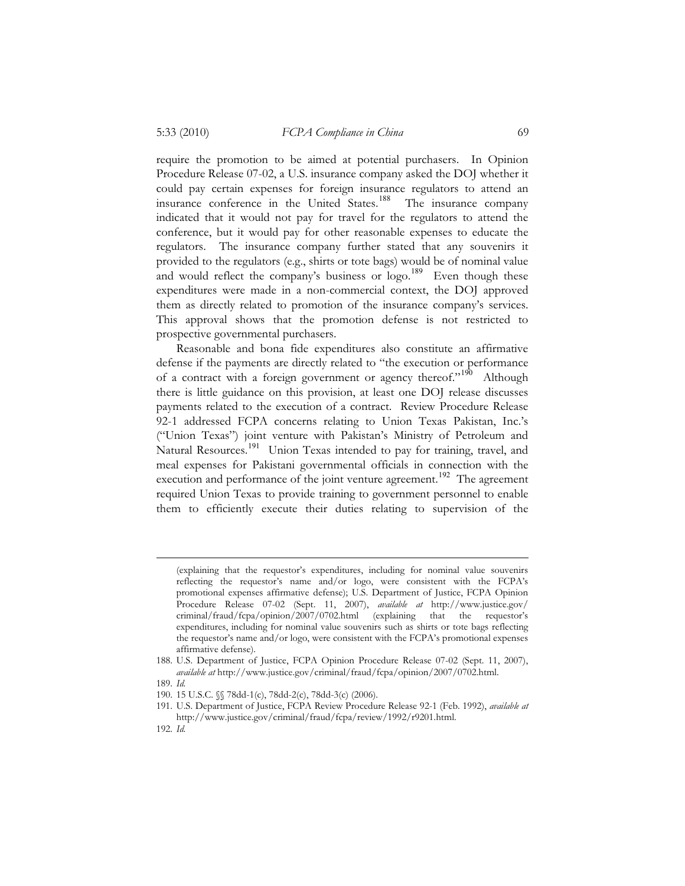require the promotion to be aimed at potential purchasers. In Opinion Procedure Release 07-02, a U.S. insurance company asked the DOJ whether it could pay certain expenses for foreign insurance regulators to attend an insurance conference in the United States.<sup>188</sup> The insurance company indicated that it would not pay for travel for the regulators to attend the conference, but it would pay for other reasonable expenses to educate the regulators. The insurance company further stated that any souvenirs it provided to the regulators (e.g., shirts or tote bags) would be of nominal value and would reflect the company's business or logo.<sup>189</sup> Even though these expenditures were made in a non-commercial context, the DOJ approved them as directly related to promotion of the insurance company's services. This approval shows that the promotion defense is not restricted to prospective governmental purchasers.

Reasonable and bona fide expenditures also constitute an affirmative defense if the payments are directly related to "the execution or performance of a contract with a foreign government or agency thereof."<sup>190</sup> Although there is little guidance on this provision, at least one DOJ release discusses payments related to the execution of a contract. Review Procedure Release 92-1 addressed FCPA concerns relating to Union Texas Pakistan, Inc.'s ("Union Texas") joint venture with Pakistan's Ministry of Petroleum and Natural Resources.<sup>191</sup> Union Texas intended to pay for training, travel, and meal expenses for Pakistani governmental officials in connection with the execution and performance of the joint venture agreement.<sup>192</sup> The agreement required Union Texas to provide training to government personnel to enable them to efficiently execute their duties relating to supervision of the

189. *Id.* 

<sup>(</sup>explaining that the requestor's expenditures, including for nominal value souvenirs reflecting the requestor's name and/or logo, were consistent with the FCPA's promotional expenses affirmative defense); U.S. Department of Justice, FCPA Opinion Procedure Release 07-02 (Sept. 11, 2007), *available at* http://www.justice.gov/ criminal/fraud/fcpa/opinion/2007/0702.html (explaining that the requestor's expenditures, including for nominal value souvenirs such as shirts or tote bags reflecting the requestor's name and/or logo, were consistent with the FCPA's promotional expenses affirmative defense).

<sup>188.</sup> U.S. Department of Justice, FCPA Opinion Procedure Release 07-02 (Sept. 11, 2007), *available at* http://www.justice.gov/criminal/fraud/fcpa/opinion/2007/0702.html.

<sup>190. 15</sup> U.S.C. §§ 78dd-1(c), 78dd-2(c), 78dd-3(c) (2006).

<sup>191.</sup> U.S. Department of Justice, FCPA Review Procedure Release 92-1 (Feb. 1992), *available at*  http://www.justice.gov/criminal/fraud/fcpa/review/1992/r9201.html.

<sup>192.</sup> *Id.*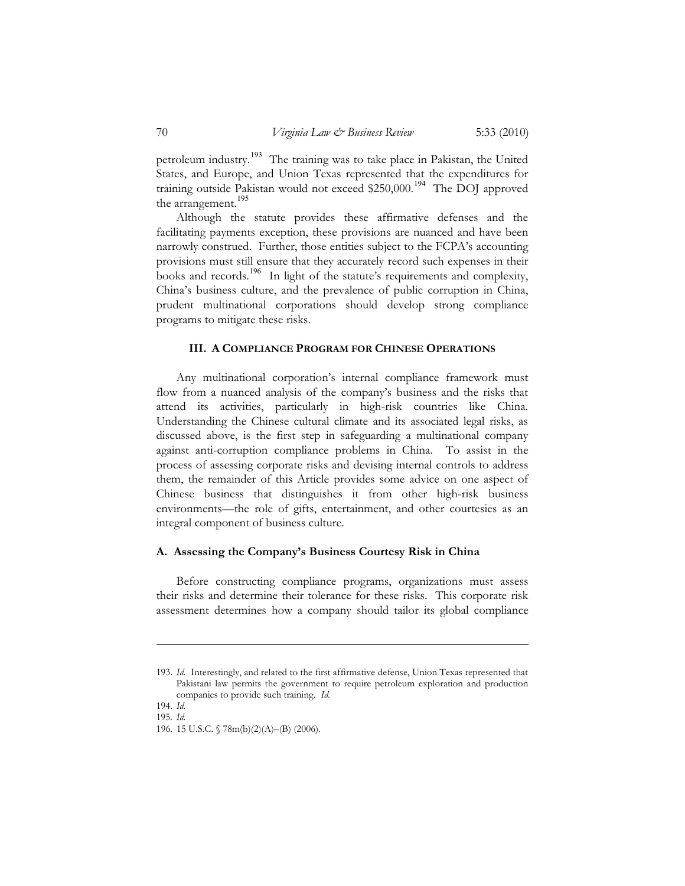petroleum industry.<sup>193</sup> The training was to take place in Pakistan, the United States, and Europe, and Union Texas represented that the expenditures for training outside Pakistan would not exceed \$250,000.<sup>194</sup> The DOJ approved the arrangement.<sup>195</sup>

Although the statute provides these affirmative defenses and the facilitating payments exception, these provisions are nuanced and have been narrowly construed. Further, those entities subject to the FCPA's accounting provisions must still ensure that they accurately record such expenses in their books and records.<sup>196</sup> In light of the statute's requirements and complexity, China's business culture, and the prevalence of public corruption in China, prudent multinational corporations should develop strong compliance programs to mitigate these risks.

#### **III. A COMPLIANCE PROGRAM FOR CHINESE OPERATIONS**

Any multinational corporation's internal compliance framework must flow from a nuanced analysis of the company's business and the risks that attend its activities, particularly in high-risk countries like China. Understanding the Chinese cultural climate and its associated legal risks, as discussed above, is the first step in safeguarding a multinational company against anti-corruption compliance problems in China. To assist in the process of assessing corporate risks and devising internal controls to address them, the remainder of this Article provides some advice on one aspect of Chinese business that distinguishes it from other high-risk business environments—the role of gifts, entertainment, and other courtesies as an integral component of business culture.

# **A. Assessing the Company's Business Courtesy Risk in China**

Before constructing compliance programs, organizations must assess their risks and determine their tolerance for these risks. This corporate risk assessment determines how a company should tailor its global compliance

<sup>193.</sup> *Id.* Interestingly, and related to the first affirmative defense, Union Texas represented that Pakistani law permits the government to require petroleum exploration and production companies to provide such training. *Id.*

<sup>194.</sup> *Id.*

<sup>195.</sup> *Id.*

<sup>196. 15</sup> U.S.C. § 78m(b)(2)(A)–(B) (2006).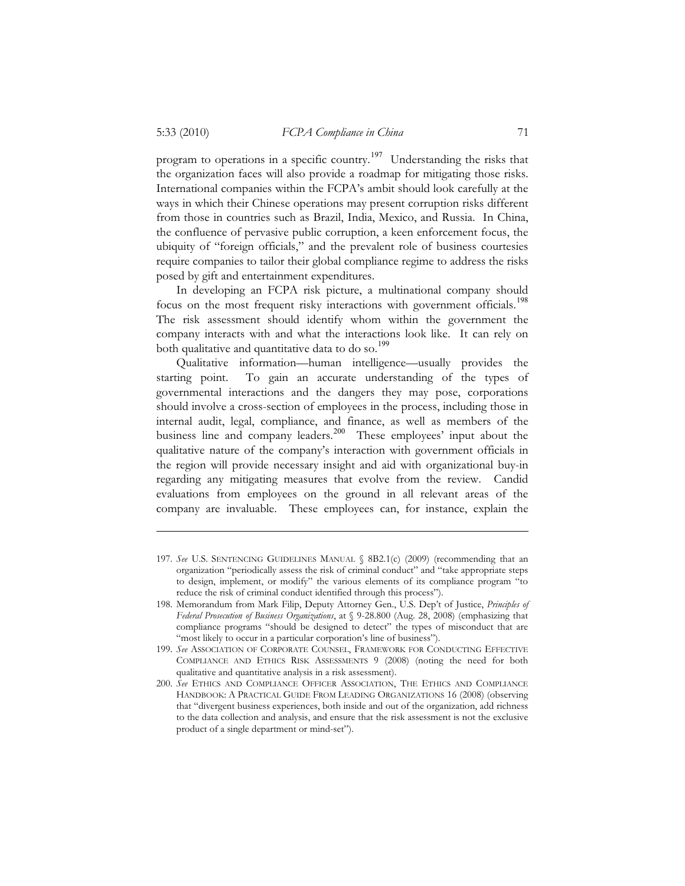program to operations in a specific country.<sup>197</sup> Understanding the risks that the organization faces will also provide a roadmap for mitigating those risks. International companies within the FCPA's ambit should look carefully at the ways in which their Chinese operations may present corruption risks different from those in countries such as Brazil, India, Mexico, and Russia. In China, the confluence of pervasive public corruption, a keen enforcement focus, the ubiquity of "foreign officials," and the prevalent role of business courtesies require companies to tailor their global compliance regime to address the risks posed by gift and entertainment expenditures.

In developing an FCPA risk picture, a multinational company should focus on the most frequent risky interactions with government officials. 198 The risk assessment should identify whom within the government the company interacts with and what the interactions look like. It can rely on both qualitative and quantitative data to do so.<sup>199</sup>

Qualitative information—human intelligence—usually provides the starting point. To gain an accurate understanding of the types of governmental interactions and the dangers they may pose, corporations should involve a cross-section of employees in the process, including those in internal audit, legal, compliance, and finance, as well as members of the business line and company leaders.<sup>200</sup> These employees' input about the qualitative nature of the company's interaction with government officials in the region will provide necessary insight and aid with organizational buy-in regarding any mitigating measures that evolve from the review. Candid evaluations from employees on the ground in all relevant areas of the company are invaluable. These employees can, for instance, explain the

<sup>197.</sup> *See* U.S. SENTENCING GUIDELINES MANUAL § 8B2.1(c) (2009) (recommending that an organization "periodically assess the risk of criminal conduct" and "take appropriate steps to design, implement, or modify" the various elements of its compliance program "to reduce the risk of criminal conduct identified through this process").

<sup>198.</sup> Memorandum from Mark Filip, Deputy Attorney Gen., U.S. Dep't of Justice, *Principles of Federal Prosecution of Business Organizations*, at § 9-28.800 (Aug. 28, 2008) (emphasizing that compliance programs "should be designed to detect" the types of misconduct that are "most likely to occur in a particular corporation's line of business").

<sup>199.</sup> *See* ASSOCIATION OF CORPORATE COUNSEL, FRAMEWORK FOR CONDUCTING EFFECTIVE COMPLIANCE AND ETHICS RISK ASSESSMENTS 9 (2008) (noting the need for both qualitative and quantitative analysis in a risk assessment).

<sup>200.</sup> *See* ETHICS AND COMPLIANCE OFFICER ASSOCIATION, THE ETHICS AND COMPLIANCE HANDBOOK: A PRACTICAL GUIDE FROM LEADING ORGANIZATIONS 16 (2008) (observing that "divergent business experiences, both inside and out of the organization, add richness to the data collection and analysis, and ensure that the risk assessment is not the exclusive product of a single department or mind-set").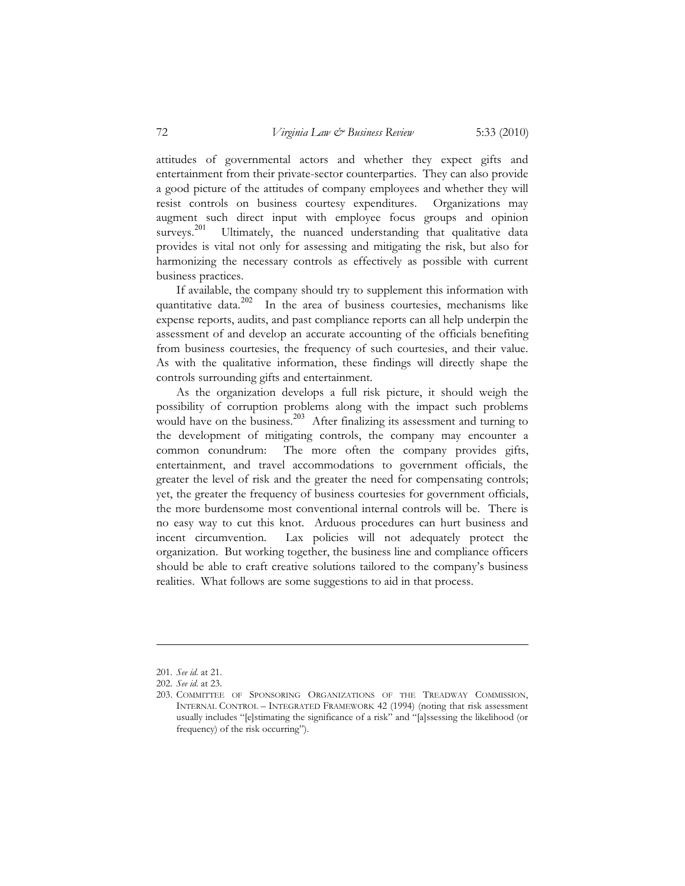attitudes of governmental actors and whether they expect gifts and entertainment from their private-sector counterparties. They can also provide a good picture of the attitudes of company employees and whether they will resist controls on business courtesy expenditures. Organizations may augment such direct input with employee focus groups and opinion surveys. 201 Ultimately, the nuanced understanding that qualitative data provides is vital not only for assessing and mitigating the risk, but also for harmonizing the necessary controls as effectively as possible with current business practices.

If available, the company should try to supplement this information with quantitative data. 202 In the area of business courtesies, mechanisms like expense reports, audits, and past compliance reports can all help underpin the assessment of and develop an accurate accounting of the officials benefiting from business courtesies, the frequency of such courtesies, and their value. As with the qualitative information, these findings will directly shape the controls surrounding gifts and entertainment.

As the organization develops a full risk picture, it should weigh the possibility of corruption problems along with the impact such problems would have on the business.<sup>203</sup> After finalizing its assessment and turning to the development of mitigating controls, the company may encounter a common conundrum: The more often the company provides gifts, entertainment, and travel accommodations to government officials, the greater the level of risk and the greater the need for compensating controls; yet, the greater the frequency of business courtesies for government officials, the more burdensome most conventional internal controls will be. There is no easy way to cut this knot. Arduous procedures can hurt business and incent circumvention. Lax policies will not adequately protect the organization. But working together, the business line and compliance officers should be able to craft creative solutions tailored to the company's business realities. What follows are some suggestions to aid in that process.

<sup>201.</sup> *See id.* at 21.

<sup>202.</sup> *See id.* at 23.

<sup>203.</sup> COMMITTEE OF SPONSORING ORGANIZATIONS OF THE TREADWAY COMMISSION, INTERNAL CONTROL – INTEGRATED FRAMEWORK 42 (1994) (noting that risk assessment usually includes "[e]stimating the significance of a risk" and "[a]ssessing the likelihood (or frequency) of the risk occurring").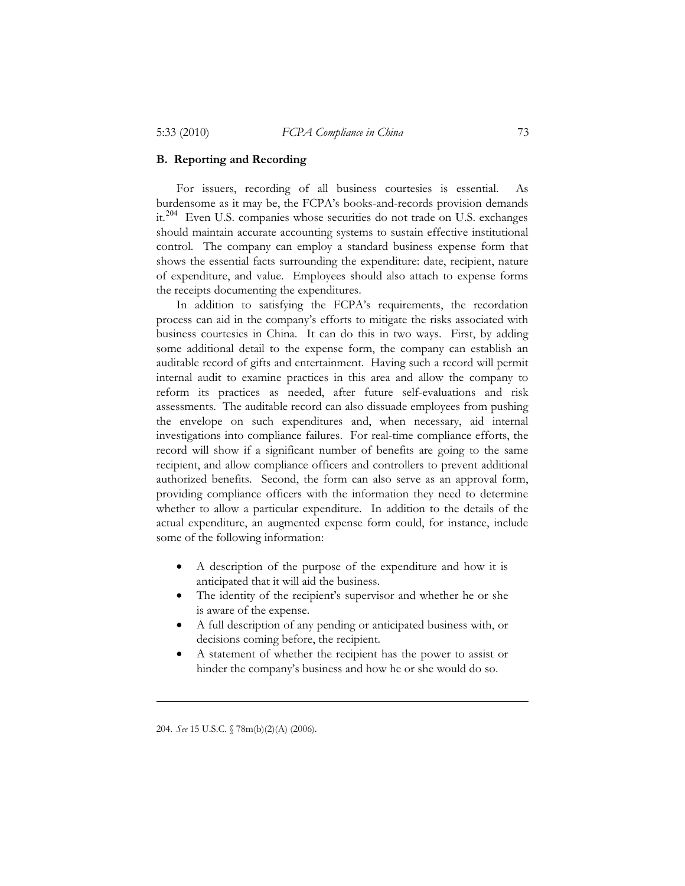# **B. Reporting and Recording**

For issuers, recording of all business courtesies is essential. As burdensome as it may be, the FCPA's books-and-records provision demands it.<sup>204</sup> Even U.S. companies whose securities do not trade on U.S. exchanges should maintain accurate accounting systems to sustain effective institutional control. The company can employ a standard business expense form that shows the essential facts surrounding the expenditure: date, recipient, nature of expenditure, and value. Employees should also attach to expense forms the receipts documenting the expenditures.

In addition to satisfying the FCPA's requirements, the recordation process can aid in the company's efforts to mitigate the risks associated with business courtesies in China. It can do this in two ways. First, by adding some additional detail to the expense form, the company can establish an auditable record of gifts and entertainment. Having such a record will permit internal audit to examine practices in this area and allow the company to reform its practices as needed, after future self-evaluations and risk assessments. The auditable record can also dissuade employees from pushing the envelope on such expenditures and, when necessary, aid internal investigations into compliance failures. For real-time compliance efforts, the record will show if a significant number of benefits are going to the same recipient, and allow compliance officers and controllers to prevent additional authorized benefits. Second, the form can also serve as an approval form, providing compliance officers with the information they need to determine whether to allow a particular expenditure. In addition to the details of the actual expenditure, an augmented expense form could, for instance, include some of the following information:

- $\bullet$  A description of the purpose of the expenditure and how it is anticipated that it will aid the business.
- $\bullet$  The identity of the recipient's supervisor and whether he or she is aware of the expense.
- - A full description of any pending or anticipated business with, or decisions coming before, the recipient.
- $\bullet$  A statement of whether the recipient has the power to assist or hinder the company's business and how he or she would do so.

<sup>204.</sup> *See* 15 U.S.C. § 78m(b)(2)(A) (2006).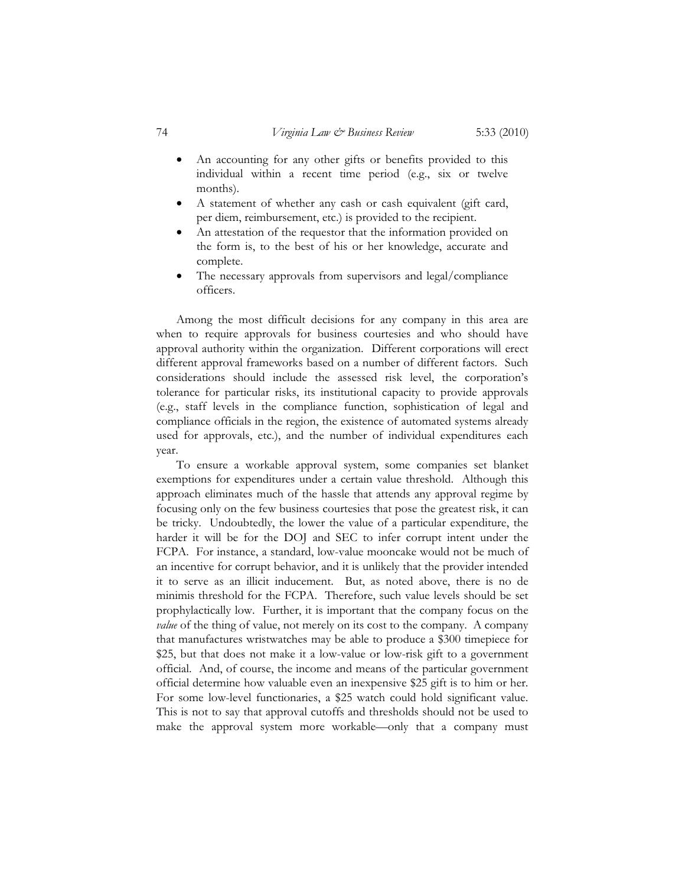- $\bullet$  An accounting for any other gifts or benefits provided to this individual within a recent time period (e.g., six or twelve months).
- $\bullet$  A statement of whether any cash or cash equivalent (gift card, per diem, reimbursement, etc.) is provided to the recipient.
- - An attestation of the requestor that the information provided on the form is, to the best of his or her knowledge, accurate and complete.
- - The necessary approvals from supervisors and legal/compliance officers.

Among the most difficult decisions for any company in this area are when to require approvals for business courtesies and who should have approval authority within the organization. Different corporations will erect different approval frameworks based on a number of different factors. Such considerations should include the assessed risk level, the corporation's tolerance for particular risks, its institutional capacity to provide approvals (e.g., staff levels in the compliance function, sophistication of legal and compliance officials in the region, the existence of automated systems already used for approvals, etc.), and the number of individual expenditures each year.

To ensure a workable approval system, some companies set blanket exemptions for expenditures under a certain value threshold. Although this approach eliminates much of the hassle that attends any approval regime by focusing only on the few business courtesies that pose the greatest risk, it can be tricky. Undoubtedly, the lower the value of a particular expenditure, the harder it will be for the DOJ and SEC to infer corrupt intent under the FCPA. For instance, a standard, low-value mooncake would not be much of an incentive for corrupt behavior, and it is unlikely that the provider intended it to serve as an illicit inducement. But, as noted above, there is no de minimis threshold for the FCPA. Therefore, such value levels should be set prophylactically low. Further, it is important that the company focus on the *value* of the thing of value, not merely on its cost to the company. A company that manufactures wristwatches may be able to produce a \$300 timepiece for \$25, but that does not make it a low-value or low-risk gift to a government official. And, of course, the income and means of the particular government official determine how valuable even an inexpensive \$25 gift is to him or her. For some low-level functionaries, a \$25 watch could hold significant value. This is not to say that approval cutoffs and thresholds should not be used to make the approval system more workable—only that a company must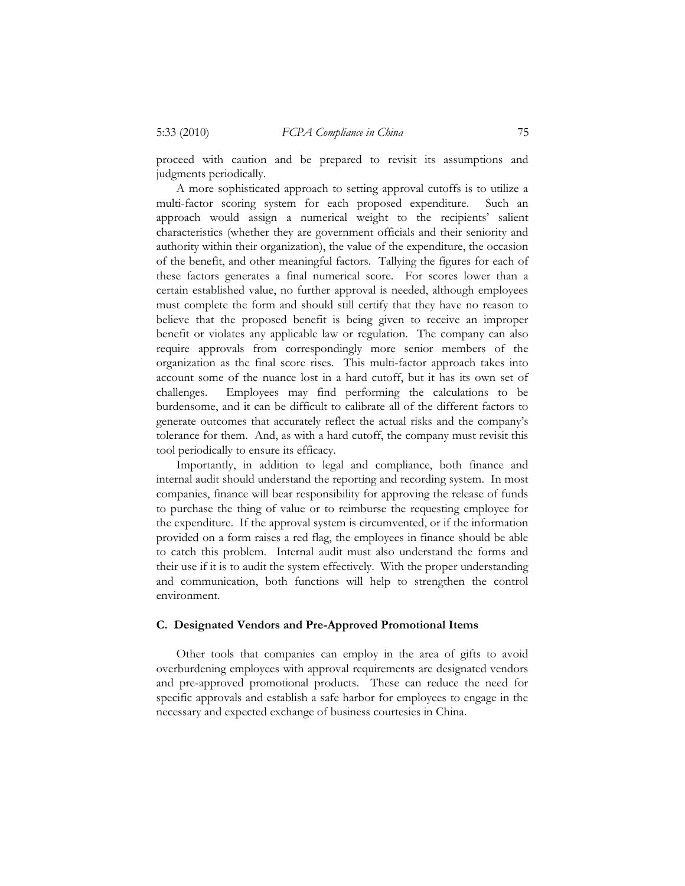proceed with caution and be prepared to revisit its assumptions and judgments periodically.

A more sophisticated approach to setting approval cutoffs is to utilize a multi-factor scoring system for each proposed expenditure. Such an approach would assign a numerical weight to the recipients' salient characteristics (whether they are government officials and their seniority and authority within their organization), the value of the expenditure, the occasion of the benefit, and other meaningful factors. Tallying the figures for each of these factors generates a final numerical score. For scores lower than a certain established value, no further approval is needed, although employees must complete the form and should still certify that they have no reason to believe that the proposed benefit is being given to receive an improper benefit or violates any applicable law or regulation. The company can also require approvals from correspondingly more senior members of the organization as the final score rises. This multi-factor approach takes into account some of the nuance lost in a hard cutoff, but it has its own set of challenges. Employees may find performing the calculations to be burdensome, and it can be difficult to calibrate all of the different factors to generate outcomes that accurately reflect the actual risks and the company's tolerance for them. And, as with a hard cutoff, the company must revisit this tool periodically to ensure its efficacy.

Importantly, in addition to legal and compliance, both finance and internal audit should understand the reporting and recording system. In most companies, finance will bear responsibility for approving the release of funds to purchase the thing of value or to reimburse the requesting employee for the expenditure. If the approval system is circumvented, or if the information provided on a form raises a red flag, the employees in finance should be able to catch this problem. Internal audit must also understand the forms and their use if it is to audit the system effectively. With the proper understanding and communication, both functions will help to strengthen the control environment.

#### **C. Designated Vendors and Pre-Approved Promotional Items**

Other tools that companies can employ in the area of gifts to avoid overburdening employees with approval requirements are designated vendors and pre-approved promotional products. These can reduce the need for specific approvals and establish a safe harbor for employees to engage in the necessary and expected exchange of business courtesies in China.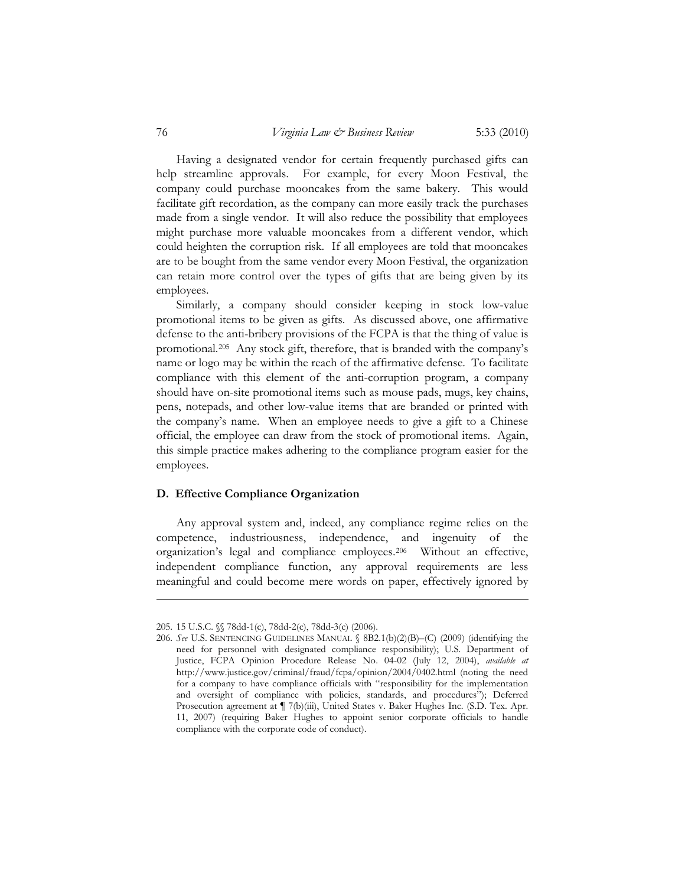Having a designated vendor for certain frequently purchased gifts can help streamline approvals. For example, for every Moon Festival, the company could purchase mooncakes from the same bakery. This would facilitate gift recordation, as the company can more easily track the purchases made from a single vendor. It will also reduce the possibility that employees might purchase more valuable mooncakes from a different vendor, which could heighten the corruption risk. If all employees are told that mooncakes are to be bought from the same vendor every Moon Festival, the organization can retain more control over the types of gifts that are being given by its employees.

Similarly, a company should consider keeping in stock low-value promotional items to be given as gifts. As discussed above, one affirmative defense to the anti-bribery provisions of the FCPA is that the thing of value is promotional.205 Any stock gift, therefore, that is branded with the company's name or logo may be within the reach of the affirmative defense. To facilitate compliance with this element of the anti-corruption program, a company should have on-site promotional items such as mouse pads, mugs, key chains, pens, notepads, and other low-value items that are branded or printed with the company's name. When an employee needs to give a gift to a Chinese official, the employee can draw from the stock of promotional items. Again, this simple practice makes adhering to the compliance program easier for the employees.

# **D. Effective Compliance Organization**

Any approval system and, indeed, any compliance regime relies on the competence, industriousness, independence, and ingenuity of the organization's legal and compliance employees.206 Without an effective, independent compliance function, any approval requirements are less meaningful and could become mere words on paper, effectively ignored by

<sup>205. 15</sup> U.S.C. §§ 78dd-1(c), 78dd-2(c), 78dd-3(c) (2006).

<sup>206.</sup> *See* U.S. SENTENCING GUIDELINES MANUAL § 8B2.1(b)(2)(B)–(C) (2009) (identifying the need for personnel with designated compliance responsibility); U.S. Department of Justice, FCPA Opinion Procedure Release No. 04-02 (July 12, 2004), *available at* http://www.justice.gov/criminal/fraud/fcpa/opinion/2004/0402.html (noting the need for a company to have compliance officials with "responsibility for the implementation and oversight of compliance with policies, standards, and procedures"); Deferred Prosecution agreement at  $\P$  7(b)(iii), United States v. Baker Hughes Inc. (S.D. Tex. Apr. 11, 2007) (requiring Baker Hughes to appoint senior corporate officials to handle compliance with the corporate code of conduct).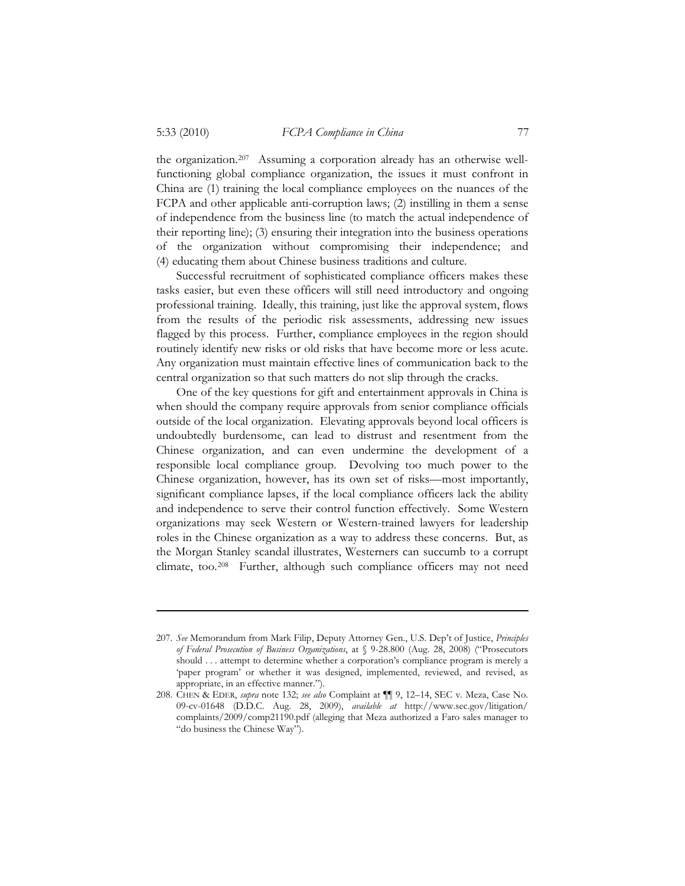the organization.<sup>207</sup> Assuming a corporation already has an otherwise wellfunctioning global compliance organization, the issues it must confront in China are (1) training the local compliance employees on the nuances of the FCPA and other applicable anti-corruption laws; (2) instilling in them a sense of independence from the business line (to match the actual independence of their reporting line); (3) ensuring their integration into the business operations of the organization without compromising their independence; and (4) educating them about Chinese business traditions and culture.

Successful recruitment of sophisticated compliance officers makes these tasks easier, but even these officers will still need introductory and ongoing professional training. Ideally, this training, just like the approval system, flows from the results of the periodic risk assessments, addressing new issues flagged by this process. Further, compliance employees in the region should routinely identify new risks or old risks that have become more or less acute. Any organization must maintain effective lines of communication back to the central organization so that such matters do not slip through the cracks.

One of the key questions for gift and entertainment approvals in China is when should the company require approvals from senior compliance officials outside of the local organization. Elevating approvals beyond local officers is undoubtedly burdensome, can lead to distrust and resentment from the Chinese organization, and can even undermine the development of a responsible local compliance group. Devolving too much power to the Chinese organization, however, has its own set of risks—most importantly, significant compliance lapses, if the local compliance officers lack the ability and independence to serve their control function effectively. Some Western organizations may seek Western or Western-trained lawyers for leadership roles in the Chinese organization as a way to address these concerns. But, as the Morgan Stanley scandal illustrates, Westerners can succumb to a corrupt climate, too.208 Further, although such compliance officers may not need

<sup>207.</sup> *See* Memorandum from Mark Filip, Deputy Attorney Gen., U.S. Dep't of Justice, *Principles of Federal Prosecution of Business Organizations*, at § 9-28.800 (Aug. 28, 2008) ("Prosecutors should . . . attempt to determine whether a corporation's compliance program is merely a 'paper program' or whether it was designed, implemented, reviewed, and revised, as appropriate, in an effective manner.").

<sup>208.</sup> CHEN & EDER, *supra* note 132; *see also* Complaint at ¶¶ 9, 12–14, SEC v. Meza, Case No. 09-cv-01648 (D.D.C. Aug. 28, 2009), *available at* http://www.sec.gov/litigation/ complaints/2009/comp21190.pdf (alleging that Meza authorized a Faro sales manager to "do business the Chinese Way").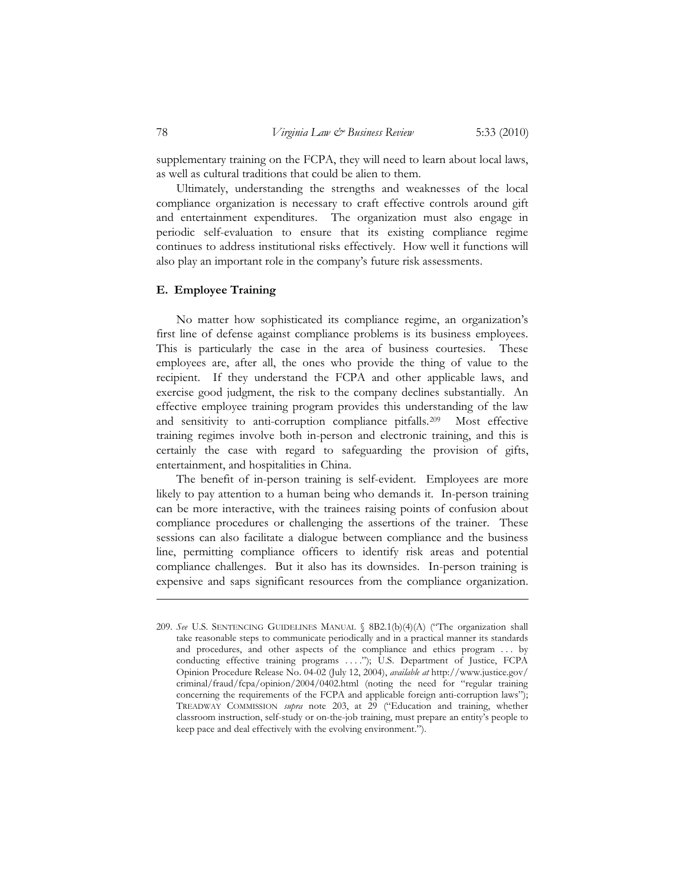supplementary training on the FCPA, they will need to learn about local laws, as well as cultural traditions that could be alien to them.

Ultimately, understanding the strengths and weaknesses of the local compliance organization is necessary to craft effective controls around gift and entertainment expenditures. The organization must also engage in periodic self-evaluation to ensure that its existing compliance regime continues to address institutional risks effectively. How well it functions will also play an important role in the company's future risk assessments.

# **E. Employee Training**

No matter how sophisticated its compliance regime, an organization's first line of defense against compliance problems is its business employees. This is particularly the case in the area of business courtesies. These employees are, after all, the ones who provide the thing of value to the recipient. If they understand the FCPA and other applicable laws, and exercise good judgment, the risk to the company declines substantially. An effective employee training program provides this understanding of the law and sensitivity to anti-corruption compliance pitfalls.209 Most effective training regimes involve both in-person and electronic training, and this is certainly the case with regard to safeguarding the provision of gifts, entertainment, and hospitalities in China.

The benefit of in-person training is self-evident. Employees are more likely to pay attention to a human being who demands it. In-person training can be more interactive, with the trainees raising points of confusion about compliance procedures or challenging the assertions of the trainer. These sessions can also facilitate a dialogue between compliance and the business line, permitting compliance officers to identify risk areas and potential compliance challenges. But it also has its downsides. In-person training is expensive and saps significant resources from the compliance organization.

<sup>209.</sup> *See* U.S. SENTENCING GUIDELINES MANUAL § 8B2.1(b)(4)(A) ("The organization shall take reasonable steps to communicate periodically and in a practical manner its standards and procedures, and other aspects of the compliance and ethics program . . . by conducting effective training programs . . . ."); U.S. Department of Justice, FCPA Opinion Procedure Release No. 04-02 (July 12, 2004), *available at* http://www.justice.gov/ criminal/fraud/fcpa/opinion/2004/0402.html (noting the need for "regular training concerning the requirements of the FCPA and applicable foreign anti-corruption laws"); TREADWAY COMMISSION *supra* note 203, at 29 ("Education and training, whether classroom instruction, self-study or on-the-job training, must prepare an entity's people to keep pace and deal effectively with the evolving environment.").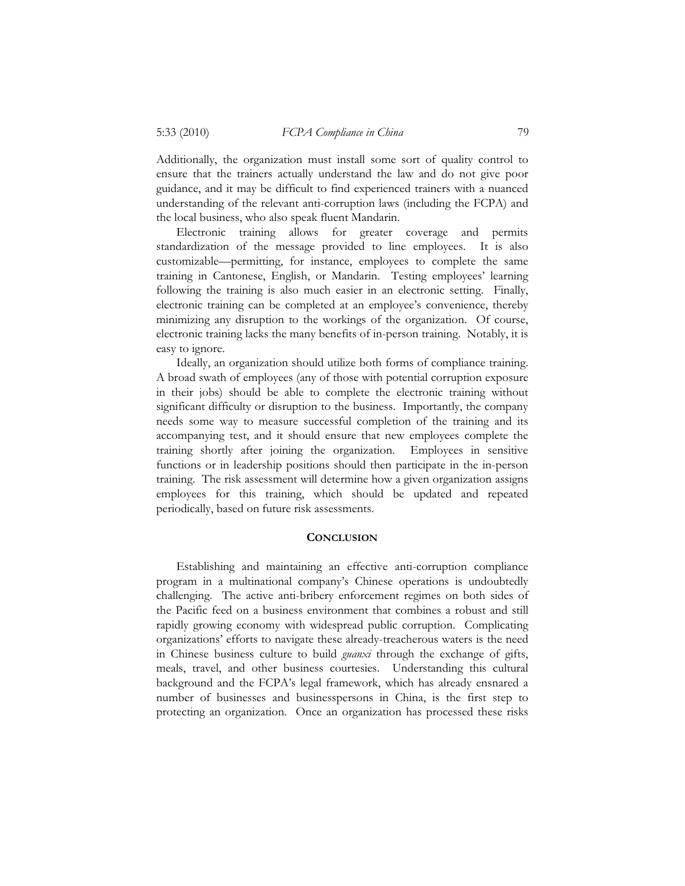Additionally, the organization must install some sort of quality control to ensure that the trainers actually understand the law and do not give poor guidance, and it may be difficult to find experienced trainers with a nuanced understanding of the relevant anti-corruption laws (including the FCPA) and the local business, who also speak fluent Mandarin.

Electronic training allows for greater coverage and permits standardization of the message provided to line employees. It is also customizable—permitting, for instance, employees to complete the same training in Cantonese, English, or Mandarin. Testing employees' learning following the training is also much easier in an electronic setting. Finally, electronic training can be completed at an employee's convenience, thereby minimizing any disruption to the workings of the organization. Of course, electronic training lacks the many benefits of in-person training. Notably, it is easy to ignore.

Ideally, an organization should utilize both forms of compliance training. A broad swath of employees (any of those with potential corruption exposure in their jobs) should be able to complete the electronic training without significant difficulty or disruption to the business. Importantly, the company needs some way to measure successful completion of the training and its accompanying test, and it should ensure that new employees complete the training shortly after joining the organization. Employees in sensitive functions or in leadership positions should then participate in the in-person training. The risk assessment will determine how a given organization assigns employees for this training, which should be updated and repeated periodically, based on future risk assessments.

#### **CONCLUSION**

Establishing and maintaining an effective anti-corruption compliance program in a multinational company's Chinese operations is undoubtedly challenging. The active anti-bribery enforcement regimes on both sides of the Pacific feed on a business environment that combines a robust and still rapidly growing economy with widespread public corruption. Complicating organizations' efforts to navigate these already-treacherous waters is the need in Chinese business culture to build *guanxi* through the exchange of gifts, meals, travel, and other business courtesies. Understanding this cultural background and the FCPA's legal framework, which has already ensnared a number of businesses and businesspersons in China, is the first step to protecting an organization. Once an organization has processed these risks